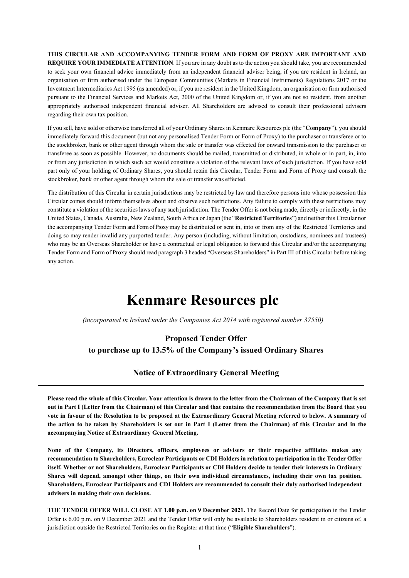**THIS CIRCULAR AND ACCOMPANYING TENDER FORM AND FORM OF PROXY ARE IMPORTANT AND REQUIRE YOUR IMMEDIATE ATTENTION**. If you are in any doubt as to the action you should take, you are recommended to seek your own financial advice immediately from an independent financial adviser being, if you are resident in Ireland, an organisation or firm authorised under the European Communities (Markets in Financial Instruments) Regulations 2017 or the Investment Intermediaries Act 1995 (as amended) or, if you are resident in the United Kingdom, an organisation or firm authorised pursuant to the Financial Services and Markets Act, 2000 of the United Kingdom or, if you are not so resident, from another appropriately authorised independent financial adviser. All Shareholders are advised to consult their professional advisers regarding their own tax position.

If you sell, have sold or otherwise transferred all of your Ordinary Shares in Kenmare Resources plc (the "**Company**"), you should immediately forward this document (but not any personalised Tender Form or Form of Proxy) to the purchaser or transferee or to the stockbroker, bank or other agent through whom the sale or transfer was effected for onward transmission to the purchaser or transferee as soon as possible. However, no documents should be mailed, transmitted or distributed, in whole or in part, in, into or from any jurisdiction in which such act would constitute a violation of the relevant laws of such jurisdiction. If you have sold part only of your holding of Ordinary Shares, you should retain this Circular, Tender Form and Form of Proxy and consult the stockbroker, bank or other agent through whom the sale or transfer was effected.

The distribution of this Circular in certain jurisdictions may be restricted by law and therefore persons into whose possession this Circular comes should inform themselves about and observe such restrictions. Any failure to comply with these restrictions may constitute a violation of the securitieslaws of any such jurisdiction. The Tender Offer is not being made, directly or indirectly, in the United States, Canada, Australia, New Zealand, South Africa or Japan (the "**Restricted Territories**") and neither this Circular nor the accompanying Tender Form and Form of Proxy may be distributed or sent in, into or from any of the Restricted Territories and doing so may render invalid any purported tender. Any person (including, without limitation, custodians, nominees and trustees) who may be an Overseas Shareholder or have a contractual or legal obligation to forward this Circular and/or the accompanying Tender Form and Form of Proxy should read paragraph 3 headed "Overseas Shareholders" in Part III of this Circular before taking any action.

# **Kenmare Resources plc**

*(incorporated in Ireland under the Companies Act 2014 with registered number 37550)*

# **Proposed Tender Offer to purchase up to 13.5% of the Company's issued Ordinary Shares**

# **Notice of Extraordinary General Meeting**

**Please read the whole of this Circular. Your attention is drawn to the letter from the Chairman of the Company that is set out in Part I (Letter from the Chairman) of this Circular and that contains the recommendation from the Board that you vote in favour of the Resolution to be proposed at the Extraordinary General Meeting referred to below. A summary of the action to be taken by Shareholders is set out in Part I (Letter from the Chairman) of this Circular and in the accompanying Notice of Extraordinary General Meeting.**

**None of the Company, its Directors, officers, employees or advisers or their respective affiliates makes any recommendation to Shareholders, Euroclear Participants or CDI Holders in relation to participation in the Tender Offer itself. Whether or not Shareholders, Euroclear Participants or CDI Holders decide to tender their interests in Ordinary Shares will depend, amongst other things, on their own individual circumstances, including their own tax position. Shareholders, Euroclear Participants and CDI Holders are recommended to consult their duly authorised independent advisers in making their own decisions.** 

**THE TENDER OFFER WILL CLOSE AT 1.00 p.m. on 9 December 2021.** The Record Date for participation in the Tender Offer is 6.00 p.m. on 9 December 2021 and the Tender Offer will only be available to Shareholders resident in or citizens of, a jurisdiction outside the Restricted Territories on the Register at that time ("**Eligible Shareholders**").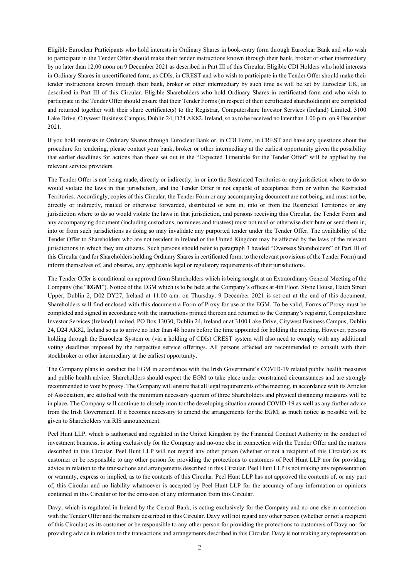Eligible Euroclear Participants who hold interests in Ordinary Shares in book-entry form through Euroclear Bank and who wish to participate in the Tender Offer should make their tender instructions known through their bank, broker or other intermediary by no later than 12.00 noon on 9 December 2021 as described in Part III of this Circular. Eligible CDI Holders who hold interests in Ordinary Shares in uncertificated form, as CDIs, in CREST and who wish to participate in the Tender Offer should make their tender instructions known through their bank, broker or other intermediary by such time as will be set by Euroclear UK, as described in Part III of this Circular. Eligible Shareholders who hold Ordinary Shares in certificated form and who wish to participate in the Tender Offer should ensure that their Tender Forms (in respect of their certificated shareholdings) are completed and returned together with their share certificate(s) to the Registrar, Computershare Investor Services (Ireland) Limited, 3100 Lake Drive, Citywest Business Campus, Dublin 24, D24 AK82, Ireland, so as to be received no later than 1.00 p.m. on 9 December 2021.

If you hold interests in Ordinary Shares through Euroclear Bank or, in CDI Form, in CREST and have any questions about the procedure for tendering, please contact your bank, broker or other intermediary at the earliest opportunity given the possibility that earlier deadlines for actions than those set out in the "Expected Timetable for the Tender Offer" will be applied by the relevant service providers.

The Tender Offer is not being made, directly or indirectly, in or into the Restricted Territories or any jurisdiction where to do so would violate the laws in that jurisdiction, and the Tender Offer is not capable of acceptance from or within the Restricted Territories. Accordingly, copies of this Circular, the Tender Form or any accompanying document are not being, and must not be, directly or indirectly, mailed or otherwise forwarded, distributed or sent in, into or from the Restricted Territories or any jurisdiction where to do so would violate the laws in that jurisdiction, and persons receiving this Circular, the Tender Form and any accompanying document (including custodians, nominees and trustees) must not mail or otherwise distribute or send them in, into or from such jurisdictions as doing so may invalidate any purported tender under the Tender Offer. The availability of the Tender Offer to Shareholders who are not resident in Ireland or the United Kingdom may be affected by the laws of the relevant jurisdictions in which they are citizens. Such persons should refer to paragraph 3 headed "Overseas Shareholders" of Part III of this Circular (and for Shareholders holding Ordinary Sharesin certificated form, to the relevant provisions of the Tender Form) and inform themselves of, and observe, any applicable legal or regulatory requirements of theirjurisdictions.

The Tender Offer is conditional on approval from Shareholders which is being sought at an Extraordinary General Meeting of the Company (the "**EGM**"). Notice of the EGM which is to be held at the Company's offices at 4th Floor, Styne House, Hatch Street Upper, Dublin 2, D02 DY27, Ireland at 11.00 a.m. on Thursday, 9 December 2021 is set out at the end of this document. Shareholders will find enclosed with this document a Form of Proxy for use at the EGM. To be valid, Forms of Proxy must be completed and signed in accordance with the instructions printed thereon and returned to the Company's registrar, Computershare Investor Services (Ireland) Limited, PO Box 13030, Dublin 24, Ireland or at 3100 Lake Drive, Citywest Business Campus, Dublin 24, D24 AK82, Ireland so as to arrive no later than 48 hours before the time appointed for holding the meeting. However, persons holding through the Euroclear System or (via a holding of CDIs) CREST system will also need to comply with any additional voting deadlines imposed by the respective service offerings. All persons affected are recommended to consult with their stockbroker or other intermediary at the earliest opportunity.

The Company plans to conduct the EGM in accordance with the Irish Government's COVID-19 related public health measures and public health advice. Shareholders should expect the EGM to take place under constrained circumstances and are strongly recommended to vote by proxy. The Company will ensure that all legal requirements of the meeting, in accordance with its Articles of Association, are satisfied with the minimum necessary quorum of three Shareholders and physical distancing measures will be in place. The Company will continue to closely monitor the developing situation around COVID-19 as well as any further advice from the Irish Government. If it becomes necessary to amend the arrangements for the EGM, as much notice as possible will be given to Shareholders via RIS announcement.

Peel Hunt LLP, which is authorised and regulated in the United Kingdom by the Financial Conduct Authority in the conduct of investment business, is acting exclusively for the Company and no-one else in connection with the Tender Offer and the matters described in this Circular. Peel Hunt LLP will not regard any other person (whether or not a recipient of this Circular) as its customer or be responsible to any other person for providing the protections to customers of Peel Hunt LLP nor for providing advice in relation to the transactions and arrangements described in this Circular. Peel Hunt LLP is not making any representation or warranty, express or implied, as to the contents of this Circular. Peel Hunt LLP has not approved the contents of, or any part of, this Circular and no liability whatsoever is accepted by Peel Hunt LLP for the accuracy of any information or opinions contained in this Circular or for the omission of any information from this Circular.

Davy, which is regulated in Ireland by the Central Bank, is acting exclusively for the Company and no-one else in connection with the Tender Offer and the matters described in this Circular. Davy will not regard any other person (whether or not a recipient of this Circular) as its customer or be responsible to any other person for providing the protections to customers of Davy nor for providing advice in relation to the transactions and arrangements described in this Circular. Davy is not making any representation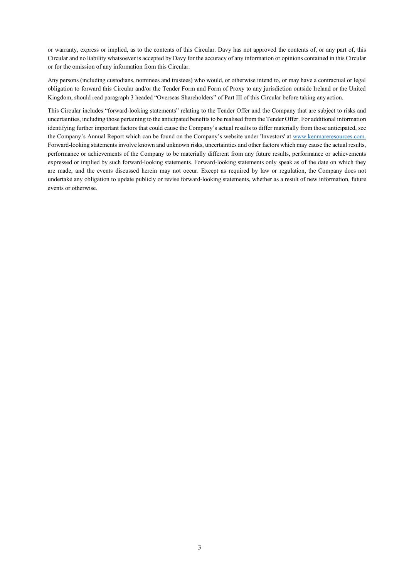or warranty, express or implied, as to the contents of this Circular. Davy has not approved the contents of, or any part of, this Circular and no liability whatsoever is accepted by Davy for the accuracy of any information or opinions contained in this Circular or for the omission of any information from this Circular.

Any persons (including custodians, nominees and trustees) who would, or otherwise intend to, or may have a contractual or legal obligation to forward this Circular and/or the Tender Form and Form of Proxy to any jurisdiction outside Ireland or the United Kingdom, should read paragraph 3 headed "Overseas Shareholders" of Part III of this Circular before taking any action.

This Circular includes "forward-looking statements" relating to the Tender Offer and the Company that are subject to risks and uncertainties, including those pertaining to the anticipated benefits to be realised from the Tender Offer. For additional information identifying further important factors that could cause the Company's actual results to differ materially from those anticipated, see the Company's Annual Report which can be found on the Company's website under 'Investors' at www.kenmareresources.com. Forward-looking statements involve known and unknown risks, uncertainties and other factors which may cause the actual results, performance or achievements of the Company to be materially different from any future results, performance or achievements expressed or implied by such forward-looking statements. Forward-looking statements only speak as of the date on which they are made, and the events discussed herein may not occur. Except as required by law or regulation, the Company does not undertake any obligation to update publicly or revise forward-looking statements, whether as a result of new information, future events or otherwise.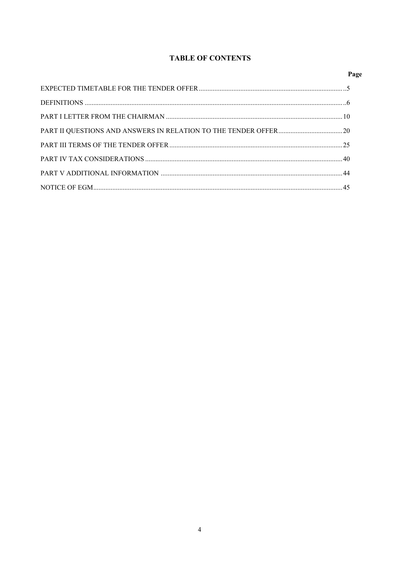# **TABLE OF CONTENTS**

| Page |
|------|
|      |
|      |
|      |
|      |
|      |
|      |
|      |
|      |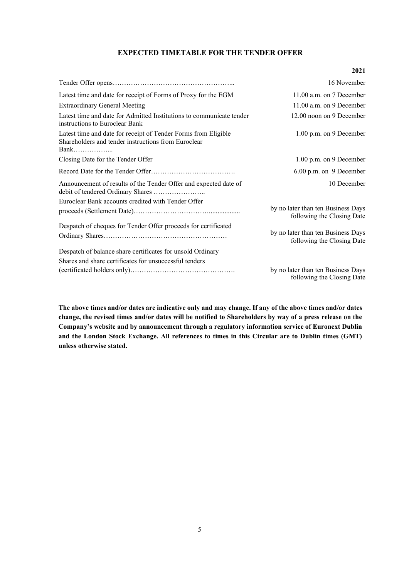# **EXPECTED TIMETABLE FOR THE TENDER OFFER**

#### **2021**

|                                                                                                                       | 16 November                                                      |
|-----------------------------------------------------------------------------------------------------------------------|------------------------------------------------------------------|
| Latest time and date for receipt of Forms of Proxy for the EGM                                                        | 11.00 a.m. on 7 December                                         |
| <b>Extraordinary General Meeting</b>                                                                                  | $11.00$ a.m. on 9 December                                       |
| Latest time and date for Admitted Institutions to communicate tender<br>instructions to Euroclear Bank                | 12.00 noon on 9 December                                         |
| Latest time and date for receipt of Tender Forms from Eligible<br>Shareholders and tender instructions from Euroclear | 1.00 p.m. on 9 December                                          |
| Closing Date for the Tender Offer                                                                                     | 1.00 p.m. on 9 December                                          |
|                                                                                                                       | 6.00 p.m. on 9 December                                          |
| Announcement of results of the Tender Offer and expected date of                                                      | 10 December                                                      |
| Euroclear Bank accounts credited with Tender Offer                                                                    |                                                                  |
|                                                                                                                       | by no later than ten Business Days<br>following the Closing Date |
| Despatch of cheques for Tender Offer proceeds for certificated                                                        |                                                                  |
|                                                                                                                       | by no later than ten Business Days<br>following the Closing Date |
| Despatch of balance share certificates for unsold Ordinary                                                            |                                                                  |
| Shares and share certificates for unsuccessful tenders                                                                |                                                                  |
|                                                                                                                       | by no later than ten Business Days<br>following the Closing Date |

**The above times and/or dates are indicative only and may change. If any of the above times and/or dates change, the revised times and/or dates will be notified to Shareholders by way of a press release on the Company's website and by announcement through a regulatory information service of Euronext Dublin and the London Stock Exchange. All references to times in this Circular are to Dublin times (GMT) unless otherwise stated.**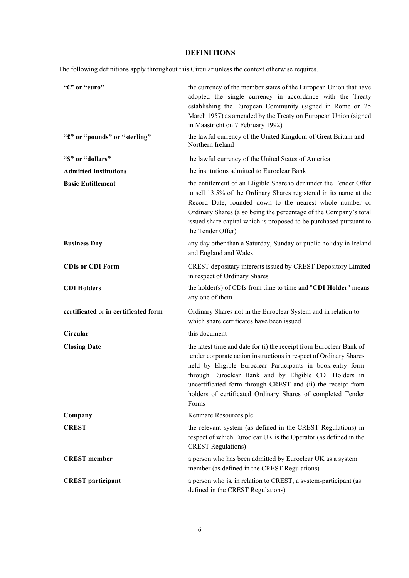# **DEFINITIONS**

The following definitions apply throughout this Circular unless the context otherwise requires.

| "E" or "euro"                        | the currency of the member states of the European Union that have<br>adopted the single currency in accordance with the Treaty<br>establishing the European Community (signed in Rome on 25<br>March 1957) as amended by the Treaty on European Union (signed<br>in Maastricht on 7 February 1992)                                                                                                      |
|--------------------------------------|---------------------------------------------------------------------------------------------------------------------------------------------------------------------------------------------------------------------------------------------------------------------------------------------------------------------------------------------------------------------------------------------------------|
| "£" or "pounds" or "sterling"        | the lawful currency of the United Kingdom of Great Britain and<br>Northern Ireland                                                                                                                                                                                                                                                                                                                      |
| "\$" or "dollars"                    | the lawful currency of the United States of America                                                                                                                                                                                                                                                                                                                                                     |
| <b>Admitted Institutions</b>         | the institutions admitted to Euroclear Bank                                                                                                                                                                                                                                                                                                                                                             |
| <b>Basic Entitlement</b>             | the entitlement of an Eligible Shareholder under the Tender Offer<br>to sell 13.5% of the Ordinary Shares registered in its name at the<br>Record Date, rounded down to the nearest whole number of<br>Ordinary Shares (also being the percentage of the Company's total<br>issued share capital which is proposed to be purchased pursuant to<br>the Tender Offer)                                     |
| <b>Business Day</b>                  | any day other than a Saturday, Sunday or public holiday in Ireland<br>and England and Wales                                                                                                                                                                                                                                                                                                             |
| <b>CDIs or CDI Form</b>              | CREST depositary interests issued by CREST Depository Limited<br>in respect of Ordinary Shares                                                                                                                                                                                                                                                                                                          |
| <b>CDI Holders</b>                   | the holder(s) of CDIs from time to time and "CDI Holder" means<br>any one of them                                                                                                                                                                                                                                                                                                                       |
| certificated or in certificated form | Ordinary Shares not in the Euroclear System and in relation to<br>which share certificates have been issued                                                                                                                                                                                                                                                                                             |
| Circular                             | this document                                                                                                                                                                                                                                                                                                                                                                                           |
| <b>Closing Date</b>                  | the latest time and date for (i) the receipt from Euroclear Bank of<br>tender corporate action instructions in respect of Ordinary Shares<br>held by Eligible Euroclear Participants in book-entry form<br>through Euroclear Bank and by Eligible CDI Holders in<br>uncertificated form through CREST and (ii) the receipt from<br>holders of certificated Ordinary Shares of completed Tender<br>Forms |
| Company                              | Kenmare Resources plc                                                                                                                                                                                                                                                                                                                                                                                   |
| <b>CREST</b>                         | the relevant system (as defined in the CREST Regulations) in<br>respect of which Euroclear UK is the Operator (as defined in the<br><b>CREST Regulations)</b>                                                                                                                                                                                                                                           |
| <b>CREST</b> member                  | a person who has been admitted by Euroclear UK as a system<br>member (as defined in the CREST Regulations)                                                                                                                                                                                                                                                                                              |
| <b>CREST</b> participant             | a person who is, in relation to CREST, a system-participant (as<br>defined in the CREST Regulations)                                                                                                                                                                                                                                                                                                    |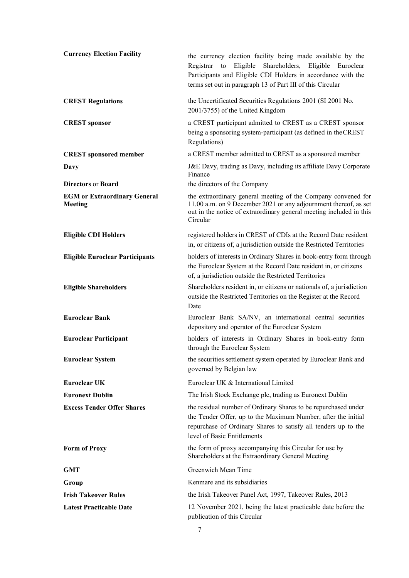| <b>Currency Election Facility</b>              | the currency election facility being made available by the<br>to Eligible<br>Registrar<br>Shareholders, Eligible Euroclear<br>Participants and Eligible CDI Holders in accordance with the<br>terms set out in paragraph 13 of Part III of this Circular |
|------------------------------------------------|----------------------------------------------------------------------------------------------------------------------------------------------------------------------------------------------------------------------------------------------------------|
| <b>CREST Regulations</b>                       | the Uncertificated Securities Regulations 2001 (SI 2001 No.<br>2001/3755) of the United Kingdom                                                                                                                                                          |
| <b>CREST</b> sponsor                           | a CREST participant admitted to CREST as a CREST sponsor<br>being a sponsoring system-participant (as defined in the CREST<br>Regulations)                                                                                                               |
| <b>CREST</b> sponsored member                  | a CREST member admitted to CREST as a sponsored member                                                                                                                                                                                                   |
| Davy                                           | J&E Davy, trading as Davy, including its affiliate Davy Corporate<br>Finance                                                                                                                                                                             |
| <b>Directors or Board</b>                      | the directors of the Company                                                                                                                                                                                                                             |
| <b>EGM or Extraordinary General</b><br>Meeting | the extraordinary general meeting of the Company convened for<br>11.00 a.m. on 9 December 2021 or any adjournment thereof, as set<br>out in the notice of extraordinary general meeting included in this<br>Circular                                     |
| <b>Eligible CDI Holders</b>                    | registered holders in CREST of CDIs at the Record Date resident<br>in, or citizens of, a jurisdiction outside the Restricted Territories                                                                                                                 |
| <b>Eligible Euroclear Participants</b>         | holders of interests in Ordinary Shares in book-entry form through<br>the Euroclear System at the Record Date resident in, or citizens<br>of, a jurisdiction outside the Restricted Territories                                                          |
| <b>Eligible Shareholders</b>                   | Shareholders resident in, or citizens or nationals of, a jurisdiction<br>outside the Restricted Territories on the Register at the Record<br>Date                                                                                                        |
| <b>Euroclear Bank</b>                          | Euroclear Bank SA/NV, an international central securities<br>depository and operator of the Euroclear System                                                                                                                                             |
| <b>Euroclear Participant</b>                   | holders of interests in Ordinary Shares in book-entry form<br>through the Euroclear System                                                                                                                                                               |
| <b>Euroclear System</b>                        | the securities settlement system operated by Euroclear Bank and<br>governed by Belgian law                                                                                                                                                               |
| <b>Euroclear UK</b>                            | Euroclear UK & International Limited                                                                                                                                                                                                                     |
| <b>Euronext Dublin</b>                         | The Irish Stock Exchange plc, trading as Euronext Dublin                                                                                                                                                                                                 |
| <b>Excess Tender Offer Shares</b>              | the residual number of Ordinary Shares to be repurchased under<br>the Tender Offer, up to the Maximum Number, after the initial<br>repurchase of Ordinary Shares to satisfy all tenders up to the<br>level of Basic Entitlements                         |
| <b>Form of Proxy</b>                           | the form of proxy accompanying this Circular for use by<br>Shareholders at the Extraordinary General Meeting                                                                                                                                             |
| GMT                                            | Greenwich Mean Time                                                                                                                                                                                                                                      |
| Group                                          | Kenmare and its subsidiaries                                                                                                                                                                                                                             |
| <b>Irish Takeover Rules</b>                    | the Irish Takeover Panel Act, 1997, Takeover Rules, 2013                                                                                                                                                                                                 |
| <b>Latest Practicable Date</b>                 | 12 November 2021, being the latest practicable date before the<br>publication of this Circular                                                                                                                                                           |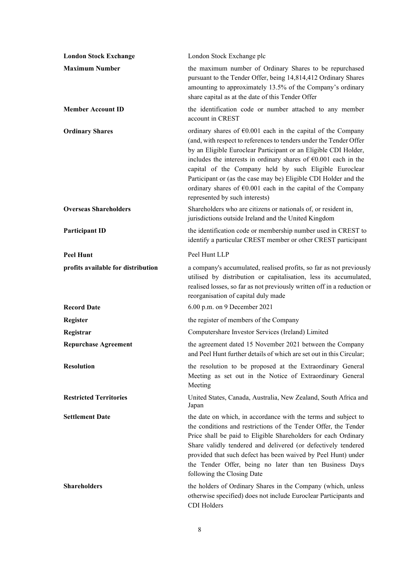| <b>London Stock Exchange</b>       | London Stock Exchange plc                                                                                                                                                                                                                                                                                                                                                                                                                                                                                                             |
|------------------------------------|---------------------------------------------------------------------------------------------------------------------------------------------------------------------------------------------------------------------------------------------------------------------------------------------------------------------------------------------------------------------------------------------------------------------------------------------------------------------------------------------------------------------------------------|
| <b>Maximum Number</b>              | the maximum number of Ordinary Shares to be repurchased<br>pursuant to the Tender Offer, being 14,814,412 Ordinary Shares<br>amounting to approximately 13.5% of the Company's ordinary<br>share capital as at the date of this Tender Offer                                                                                                                                                                                                                                                                                          |
| <b>Member Account ID</b>           | the identification code or number attached to any member<br>account in CREST                                                                                                                                                                                                                                                                                                                                                                                                                                                          |
| <b>Ordinary Shares</b>             | ordinary shares of $\epsilon$ 0.001 each in the capital of the Company<br>(and, with respect to references to tenders under the Tender Offer<br>by an Eligible Euroclear Participant or an Eligible CDI Holder,<br>includes the interests in ordinary shares of $\epsilon$ 0.001 each in the<br>capital of the Company held by such Eligible Euroclear<br>Participant or (as the case may be) Eligible CDI Holder and the<br>ordinary shares of $\epsilon$ 0.001 each in the capital of the Company<br>represented by such interests) |
| <b>Overseas Shareholders</b>       | Shareholders who are citizens or nationals of, or resident in,<br>jurisdictions outside Ireland and the United Kingdom                                                                                                                                                                                                                                                                                                                                                                                                                |
| <b>Participant ID</b>              | the identification code or membership number used in CREST to<br>identify a particular CREST member or other CREST participant                                                                                                                                                                                                                                                                                                                                                                                                        |
| <b>Peel Hunt</b>                   | Peel Hunt LLP                                                                                                                                                                                                                                                                                                                                                                                                                                                                                                                         |
| profits available for distribution | a company's accumulated, realised profits, so far as not previously<br>utilised by distribution or capitalisation, less its accumulated,<br>realised losses, so far as not previously written off in a reduction or<br>reorganisation of capital duly made                                                                                                                                                                                                                                                                            |
| <b>Record Date</b>                 | 6.00 p.m. on 9 December 2021                                                                                                                                                                                                                                                                                                                                                                                                                                                                                                          |
| Register                           | the register of members of the Company                                                                                                                                                                                                                                                                                                                                                                                                                                                                                                |
| Registrar                          | Computershare Investor Services (Ireland) Limited                                                                                                                                                                                                                                                                                                                                                                                                                                                                                     |
| <b>Repurchase Agreement</b>        | the agreement dated 15 November 2021 between the Company<br>and Peel Hunt further details of which are set out in this Circular;                                                                                                                                                                                                                                                                                                                                                                                                      |
| <b>Resolution</b>                  | the resolution to be proposed at the Extraordinary General<br>Meeting as set out in the Notice of Extraordinary General<br>Meeting                                                                                                                                                                                                                                                                                                                                                                                                    |
| <b>Restricted Territories</b>      | United States, Canada, Australia, New Zealand, South Africa and<br>Japan                                                                                                                                                                                                                                                                                                                                                                                                                                                              |
| <b>Settlement Date</b>             | the date on which, in accordance with the terms and subject to<br>the conditions and restrictions of the Tender Offer, the Tender<br>Price shall be paid to Eligible Shareholders for each Ordinary<br>Share validly tendered and delivered (or defectively tendered<br>provided that such defect has been waived by Peel Hunt) under<br>the Tender Offer, being no later than ten Business Days<br>following the Closing Date                                                                                                        |
| <b>Shareholders</b>                | the holders of Ordinary Shares in the Company (which, unless<br>otherwise specified) does not include Euroclear Participants and<br>CDI Holders                                                                                                                                                                                                                                                                                                                                                                                       |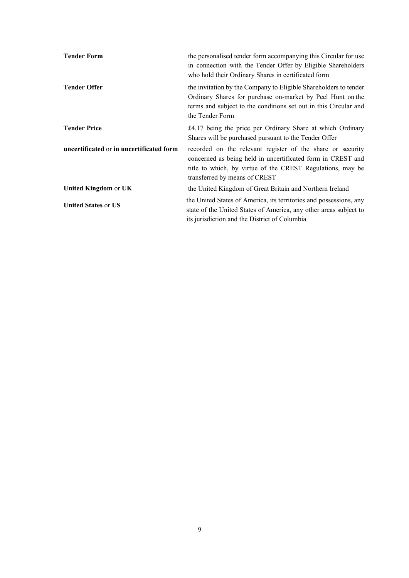| <b>Tender Form</b>                       | the personalised tender form accompanying this Circular for use<br>in connection with the Tender Offer by Eligible Shareholders<br>who hold their Ordinary Shares in certificated form                                   |
|------------------------------------------|--------------------------------------------------------------------------------------------------------------------------------------------------------------------------------------------------------------------------|
| <b>Tender Offer</b>                      | the invitation by the Company to Eligible Shareholders to tender<br>Ordinary Shares for purchase on-market by Peel Hunt on the<br>terms and subject to the conditions set out in this Circular and<br>the Tender Form    |
| <b>Tender Price</b>                      | £4.17 being the price per Ordinary Share at which Ordinary<br>Shares will be purchased pursuant to the Tender Offer                                                                                                      |
| uncertificated or in uncertificated form | recorded on the relevant register of the share or security<br>concerned as being held in uncertificated form in CREST and<br>title to which, by virtue of the CREST Regulations, may be<br>transferred by means of CREST |
| <b>United Kingdom or UK</b>              | the United Kingdom of Great Britain and Northern Ireland                                                                                                                                                                 |
| <b>United States or US</b>               | the United States of America, its territories and possessions, any<br>state of the United States of America, any other areas subject to<br>its jurisdiction and the District of Columbia                                 |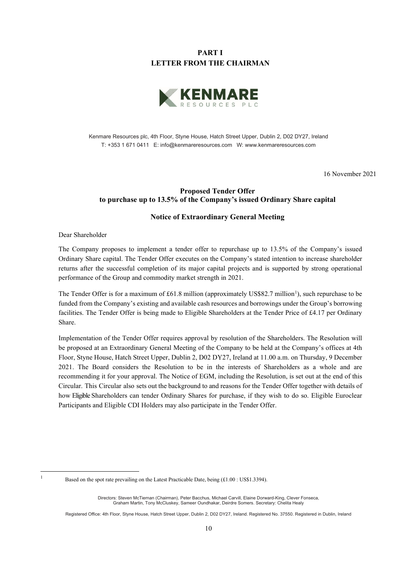# **PART I LETTER FROM THE CHAIRMAN**



Kenmare Resources plc, 4th Floor, Styne House, Hatch Street Upper, Dublin 2, D02 DY27, Ireland T: +353 1 671 0411 E: info@kenmareresources.com W: www.kenmareresources.com

16 November 2021

# **Proposed Tender Offer to purchase up to 13.5% of the Company's issued Ordinary Share capital**

#### **Notice of Extraordinary General Meeting**

Dear Shareholder

The Company proposes to implement a tender offer to repurchase up to 13.5% of the Company's issued Ordinary Share capital. The Tender Offer executes on the Company's stated intention to increase shareholder returns after the successful completion of its major capital projects and is supported by strong operational performance of the Group and commodity market strength in 2021.

The Tender Offer is for a maximum of £6[1](#page-9-0).8 million (approximately US\$82.7 million<sup>1</sup>), such repurchase to be funded from the Company's existing and available cash resources and borrowings under the Group's borrowing facilities. The Tender Offer is being made to Eligible Shareholders at the Tender Price of £4.17 per Ordinary Share.

Implementation of the Tender Offer requires approval by resolution of the Shareholders. The Resolution will be proposed at an Extraordinary General Meeting of the Company to be held at the Company's offices at 4th Floor, Styne House, Hatch Street Upper, Dublin 2, D02 DY27, Ireland at 11.00 a.m. on Thursday, 9 December 2021. The Board considers the Resolution to be in the interests of Shareholders as a whole and are recommending it for your approval. The Notice of EGM, including the Resolution, is set out at the end of this Circular. This Circular also sets out the background to and reasons for the Tender Offer together with details of how Eligible Shareholders can tender Ordinary Shares for purchase, if they wish to do so. Eligible Euroclear Participants and Eligible CDI Holders may also participate in the Tender Offer.

<span id="page-9-0"></span>

<sup>&</sup>lt;sup>1</sup> Based on the spot rate prevailing on the Latest Practicable Date, being (£1.00 : US\$1.3394).

Directors: Steven McTiernan (Chairman), Peter Bacchus, Michael Carvill, Elaine Dorward-King, Clever Fonseca, Graham Martin, Tony McCluskey, Sameer Oundhakar, Deirdre Somers. Secretary: Chelita Healy

Registered Office: 4th Floor, Styne House, Hatch Street Upper, Dublin 2, D02 DY27, Ireland. Registered No. 37550. Registered in Dublin, Ireland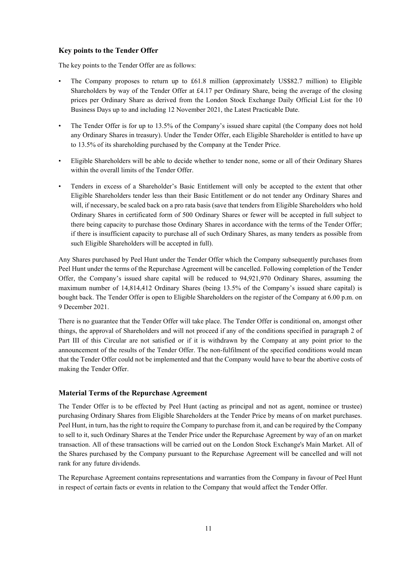## **Key points to the Tender Offer**

The key points to the Tender Offer are as follows:

- The Company proposes to return up to £61.8 million (approximately US\$82.7 million) to Eligible Shareholders by way of the Tender Offer at £4.17 per Ordinary Share, being the average of the closing prices per Ordinary Share as derived from the London Stock Exchange Daily Official List for the 10 Business Days up to and including 12 November 2021, the Latest Practicable Date.
- The Tender Offer is for up to 13.5% of the Company's issued share capital (the Company does not hold any Ordinary Shares in treasury). Under the Tender Offer, each Eligible Shareholder is entitled to have up to 13.5% of its shareholding purchased by the Company at the Tender Price.
- Eligible Shareholders will be able to decide whether to tender none, some or all of their Ordinary Shares within the overall limits of the Tender Offer.
- Tenders in excess of a Shareholder's Basic Entitlement will only be accepted to the extent that other Eligible Shareholders tender less than their Basic Entitlement or do not tender any Ordinary Shares and will, if necessary, be scaled back on a pro rata basis (save that tenders from Eligible Shareholders who hold Ordinary Shares in certificated form of 500 Ordinary Shares or fewer will be accepted in full subject to there being capacity to purchase those Ordinary Shares in accordance with the terms of the Tender Offer; if there is insufficient capacity to purchase all of such Ordinary Shares, as many tenders as possible from such Eligible Shareholders will be accepted in full).

Any Shares purchased by Peel Hunt under the Tender Offer which the Company subsequently purchases from Peel Hunt under the terms of the Repurchase Agreement will be cancelled. Following completion of the Tender Offer, the Company's issued share capital will be reduced to 94,921,970 Ordinary Shares, assuming the maximum number of 14,814,412 Ordinary Shares (being 13.5% of the Company's issued share capital) is bought back. The Tender Offer is open to Eligible Shareholders on the register of the Company at 6.00 p.m. on 9 December 2021.

There is no guarantee that the Tender Offer will take place. The Tender Offer is conditional on, amongst other things, the approval of Shareholders and will not proceed if any of the conditions specified in paragraph 2 of Part III of this Circular are not satisfied or if it is withdrawn by the Company at any point prior to the announcement of the results of the Tender Offer. The non-fulfilment of the specified conditions would mean that the Tender Offer could not be implemented and that the Company would have to bear the abortive costs of making the Tender Offer.

## **Material Terms of the Repurchase Agreement**

The Tender Offer is to be effected by Peel Hunt (acting as principal and not as agent, nominee or trustee) purchasing Ordinary Shares from Eligible Shareholders at the Tender Price by means of on market purchases. Peel Hunt, in turn, has the right to require the Company to purchase from it, and can be required by the Company to sell to it, such Ordinary Shares at the Tender Price under the Repurchase Agreement by way of an on market transaction. All of these transactions will be carried out on the London Stock Exchange's Main Market. All of the Shares purchased by the Company pursuant to the Repurchase Agreement will be cancelled and will not rank for any future dividends.

The Repurchase Agreement contains representations and warranties from the Company in favour of Peel Hunt in respect of certain facts or events in relation to the Company that would affect the Tender Offer.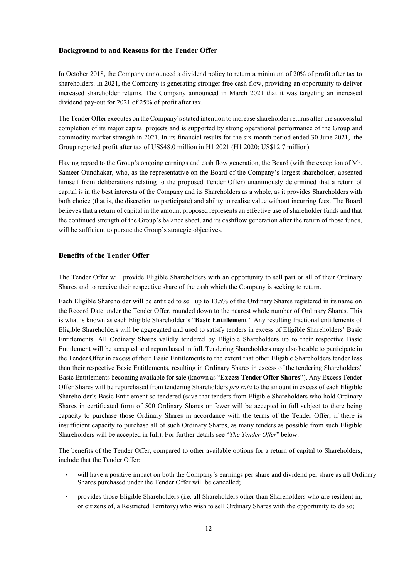## **Background to and Reasons for the Tender Offer**

In October 2018, the Company announced a dividend policy to return a minimum of 20% of profit after tax to shareholders. In 2021, the Company is generating stronger free cash flow, providing an opportunity to deliver increased shareholder returns. The Company announced in March 2021 that it was targeting an increased dividend pay-out for 2021 of 25% of profit after tax.

The Tender Offer executes on the Company's stated intention to increase shareholder returns after the successful completion of its major capital projects and is supported by strong operational performance of the Group and commodity market strength in 2021. In its financial results for the six-month period ended 30 June 2021, the Group reported profit after tax of US\$48.0 million in H1 2021 (H1 2020: US\$12.7 million).

Having regard to the Group's ongoing earnings and cash flow generation, the Board (with the exception of Mr. Sameer Oundhakar, who, as the representative on the Board of the Company's largest shareholder, absented himself from deliberations relating to the proposed Tender Offer) unanimously determined that a return of capital is in the best interests of the Company and its Shareholders as a whole, as it provides Shareholders with both choice (that is, the discretion to participate) and ability to realise value without incurring fees. The Board believes that a return of capital in the amount proposed represents an effective use of shareholder funds and that the continued strength of the Group's balance sheet, and its cashflow generation after the return of those funds, will be sufficient to pursue the Group's strategic objectives.

## **Benefits of the Tender Offer**

The Tender Offer will provide Eligible Shareholders with an opportunity to sell part or all of their Ordinary Shares and to receive their respective share of the cash which the Company is seeking to return.

Each Eligible Shareholder will be entitled to sell up to 13.5% of the Ordinary Shares registered in its name on the Record Date under the Tender Offer, rounded down to the nearest whole number of Ordinary Shares. This is what is known as each Eligible Shareholder's "**Basic Entitlement**". Any resulting fractional entitlements of Eligible Shareholders will be aggregated and used to satisfy tenders in excess of Eligible Shareholders' Basic Entitlements. All Ordinary Shares validly tendered by Eligible Shareholders up to their respective Basic Entitlement will be accepted and repurchased in full. Tendering Shareholders may also be able to participate in the Tender Offer in excess of their Basic Entitlements to the extent that other Eligible Shareholders tender less than their respective Basic Entitlements, resulting in Ordinary Shares in excess of the tendering Shareholders' Basic Entitlements becoming available for sale (known as "**Excess Tender Offer Shares**"). Any Excess Tender Offer Shares will be repurchased from tendering Shareholders *pro rata* to the amount in excess of each Eligible Shareholder's Basic Entitlement so tendered (save that tenders from Eligible Shareholders who hold Ordinary Shares in certificated form of 500 Ordinary Shares or fewer will be accepted in full subject to there being capacity to purchase those Ordinary Shares in accordance with the terms of the Tender Offer; if there is insufficient capacity to purchase all of such Ordinary Shares, as many tenders as possible from such Eligible Shareholders will be accepted in full). For further details see "*The Tender Offer*" below.

The benefits of the Tender Offer, compared to other available options for a return of capital to Shareholders, include that the Tender Offer:

- will have a positive impact on both the Company's earnings per share and dividend per share as all Ordinary Shares purchased under the Tender Offer will be cancelled;
- provides those Eligible Shareholders (i.e. all Shareholders other than Shareholders who are resident in, or citizens of, a Restricted Territory) who wish to sell Ordinary Shares with the opportunity to do so;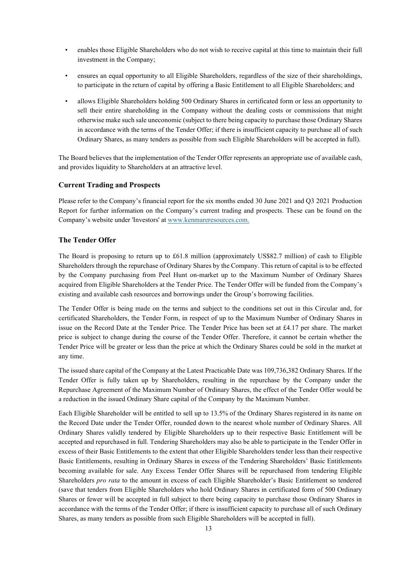- enables those Eligible Shareholders who do not wish to receive capital at this time to maintain their full investment in the Company;
- ensures an equal opportunity to all Eligible Shareholders, regardless of the size of their shareholdings, to participate in the return of capital by offering a Basic Entitlement to all Eligible Shareholders; and
- allows Eligible Shareholders holding 500 Ordinary Shares in certificated form or less an opportunity to sell their entire shareholding in the Company without the dealing costs or commissions that might otherwise make such sale uneconomic (subject to there being capacity to purchase those Ordinary Shares in accordance with the terms of the Tender Offer; if there is insufficient capacity to purchase all of such Ordinary Shares, as many tenders as possible from such Eligible Shareholders will be accepted in full).

The Board believes that the implementation of the Tender Offer represents an appropriate use of available cash, and provides liquidity to Shareholders at an attractive level.

## **Current Trading and Prospects**

Please refer to the Company's financial report for the six months ended 30 June 2021 and Q3 2021 Production Report for further information on the Company's current trading and prospects. These can be found on the Company's website under 'Investors' at www.kenmareresources.com.

## **The Tender Offer**

The Board is proposing to return up to £61.8 million (approximately US\$82.7 million) of cash to Eligible Shareholders through the repurchase of Ordinary Shares by the Company. This return of capital is to be effected by the Company purchasing from Peel Hunt on-market up to the Maximum Number of Ordinary Shares acquired from Eligible Shareholders at the Tender Price. The Tender Offer will be funded from the Company's existing and available cash resources and borrowings under the Group's borrowing facilities.

The Tender Offer is being made on the terms and subject to the conditions set out in this Circular and, for certificated Shareholders, the Tender Form, in respect of up to the Maximum Number of Ordinary Shares in issue on the Record Date at the Tender Price. The Tender Price has been set at £4.17 per share. The market price is subject to change during the course of the Tender Offer. Therefore, it cannot be certain whether the Tender Price will be greater or less than the price at which the Ordinary Shares could be sold in the market at any time.

The issued share capital of the Company at the Latest Practicable Date was 109,736,382 Ordinary Shares. If the Tender Offer is fully taken up by Shareholders, resulting in the repurchase by the Company under the Repurchase Agreement of the Maximum Number of Ordinary Shares, the effect of the Tender Offer would be a reduction in the issued Ordinary Share capital of the Company by the Maximum Number.

Each Eligible Shareholder will be entitled to sell up to 13.5% of the Ordinary Shares registered in its name on the Record Date under the Tender Offer, rounded down to the nearest whole number of Ordinary Shares. All Ordinary Shares validly tendered by Eligible Shareholders up to their respective Basic Entitlement will be accepted and repurchased in full. Tendering Shareholders may also be able to participate in the Tender Offer in excess of their Basic Entitlements to the extent that other Eligible Shareholders tender less than their respective Basic Entitlements, resulting in Ordinary Shares in excess of the Tendering Shareholders' Basic Entitlements becoming available for sale. Any Excess Tender Offer Shares will be repurchased from tendering Eligible Shareholders *pro rata* to the amount in excess of each Eligible Shareholder's Basic Entitlement so tendered (save that tenders from Eligible Shareholders who hold Ordinary Shares in certificated form of 500 Ordinary Shares or fewer will be accepted in full subject to there being capacity to purchase those Ordinary Shares in accordance with the terms of the Tender Offer; if there is insufficient capacity to purchase all of such Ordinary Shares, as many tenders as possible from such Eligible Shareholders will be accepted in full).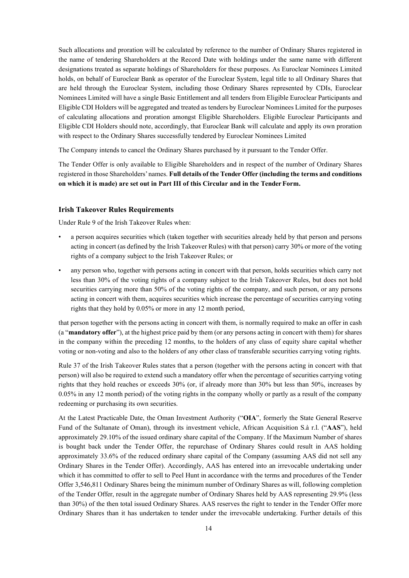Such allocations and proration will be calculated by reference to the number of Ordinary Shares registered in the name of tendering Shareholders at the Record Date with holdings under the same name with different designations treated as separate holdings of Shareholders for these purposes. As Euroclear Nominees Limited holds, on behalf of Euroclear Bank as operator of the Euroclear System, legal title to all Ordinary Shares that are held through the Euroclear System, including those Ordinary Shares represented by CDIs, Euroclear Nominees Limited will have a single Basic Entitlement and all tenders from Eligible Euroclear Participants and Eligible CDI Holders will be aggregated and treated as tenders by Euroclear Nominees Limited for the purposes of calculating allocations and proration amongst Eligible Shareholders. Eligible Euroclear Participants and Eligible CDI Holders should note, accordingly, that Euroclear Bank will calculate and apply its own proration with respect to the Ordinary Shares successfully tendered by Euroclear Nominees Limited

The Company intends to cancel the Ordinary Shares purchased by it pursuant to the Tender Offer.

The Tender Offer is only available to Eligible Shareholders and in respect of the number of Ordinary Shares registered in those Shareholders'names. **Full details of the Tender Offer (including the terms and conditions on which it is made) are set out in Part III of this Circular and in the TenderForm.**

#### **Irish Takeover Rules Requirements**

Under Rule 9 of the Irish Takeover Rules when:

- a person acquires securities which (taken together with securities already held by that person and persons acting in concert (as defined by the Irish Takeover Rules) with that person) carry 30% or more of the voting rights of a company subject to the Irish Takeover Rules; or
- any person who, together with persons acting in concert with that person, holds securities which carry not less than 30% of the voting rights of a company subject to the Irish Takeover Rules, but does not hold securities carrying more than 50% of the voting rights of the company, and such person, or any persons acting in concert with them, acquires securities which increase the percentage of securities carrying voting rights that they hold by 0.05% or more in any 12 month period,

that person together with the persons acting in concert with them, is normally required to make an offer in cash (a "**mandatory offer**"), at the highest price paid by them (or any persons acting in concert with them) for shares in the company within the preceding 12 months, to the holders of any class of equity share capital whether voting or non-voting and also to the holders of any other class of transferable securities carrying voting rights.

Rule 37 of the Irish Takeover Rules states that a person (together with the persons acting in concert with that person) will also be required to extend such a mandatory offer when the percentage of securities carrying voting rights that they hold reaches or exceeds 30% (or, if already more than 30% but less than 50%, increases by 0.05% in any 12 month period) of the voting rights in the company wholly or partly as a result of the company redeeming or purchasing its own securities.

At the Latest Practicable Date, the Oman Investment Authority ("**OIA**", formerly the State General Reserve Fund of the Sultanate of Oman), through its investment vehicle, African Acquisition S.à r.l. ("**AAS**"), held approximately 29.10% of the issued ordinary share capital of the Company. If the Maximum Number of shares is bought back under the Tender Offer, the repurchase of Ordinary Shares could result in AAS holding approximately 33.6% of the reduced ordinary share capital of the Company (assuming AAS did not sell any Ordinary Shares in the Tender Offer). Accordingly, AAS has entered into an irrevocable undertaking under which it has committed to offer to sell to Peel Hunt in accordance with the terms and procedures of the Tender Offer 3,546,811 Ordinary Shares being the minimum number of Ordinary Shares as will, following completion of the Tender Offer, result in the aggregate number of Ordinary Shares held by AAS representing 29.9% (less than 30%) of the then total issued Ordinary Shares. AAS reserves the right to tender in the Tender Offer more Ordinary Shares than it has undertaken to tender under the irrevocable undertaking. Further details of this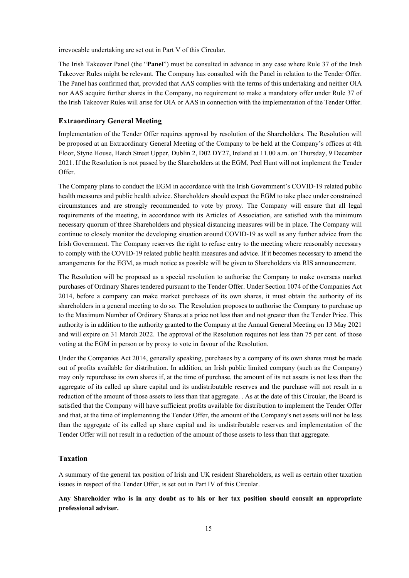irrevocable undertaking are set out in Part V of this Circular.

The Irish Takeover Panel (the "**Panel**") must be consulted in advance in any case where Rule 37 of the Irish Takeover Rules might be relevant. The Company has consulted with the Panel in relation to the Tender Offer. The Panel has confirmed that, provided that AAS complies with the terms of this undertaking and neither OIA nor AAS acquire further shares in the Company, no requirement to make a mandatory offer under Rule 37 of the Irish Takeover Rules will arise for OIA or AAS in connection with the implementation of the Tender Offer.

#### **Extraordinary General Meeting**

Implementation of the Tender Offer requires approval by resolution of the Shareholders. The Resolution will be proposed at an Extraordinary General Meeting of the Company to be held at the Company's offices at 4th Floor, Styne House, Hatch Street Upper, Dublin 2, D02 DY27, Ireland at 11.00 a.m. on Thursday, 9 December 2021. If the Resolution is not passed by the Shareholders at the EGM, Peel Hunt will not implement the Tender Offer.

The Company plans to conduct the EGM in accordance with the Irish Government's COVID-19 related public health measures and public health advice. Shareholders should expect the EGM to take place under constrained circumstances and are strongly recommended to vote by proxy. The Company will ensure that all legal requirements of the meeting, in accordance with its Articles of Association, are satisfied with the minimum necessary quorum of three Shareholders and physical distancing measures will be in place. The Company will continue to closely monitor the developing situation around COVID-19 as well as any further advice from the Irish Government. The Company reserves the right to refuse entry to the meeting where reasonably necessary to comply with the COVID-19 related public health measures and advice. If it becomes necessary to amend the arrangements for the EGM, as much notice as possible will be given to Shareholders via RIS announcement.

The Resolution will be proposed as a special resolution to authorise the Company to make overseas market purchases of Ordinary Shares tendered pursuant to the Tender Offer. Under Section 1074 of the Companies Act 2014, before a company can make market purchases of its own shares, it must obtain the authority of its shareholders in a general meeting to do so. The Resolution proposes to authorise the Company to purchase up to the Maximum Number of Ordinary Shares at a price not less than and not greater than the Tender Price. This authority is in addition to the authority granted to the Company at the Annual General Meeting on 13 May 2021 and will expire on 31 March 2022. The approval of the Resolution requires not less than 75 per cent. of those voting at the EGM in person or by proxy to vote in favour of the Resolution.

Under the Companies Act 2014, generally speaking, purchases by a company of its own shares must be made out of profits available for distribution. In addition, an Irish public limited company (such as the Company) may only repurchase its own shares if, at the time of purchase, the amount of its net assets is not less than the aggregate of its called up share capital and its undistributable reserves and the purchase will not result in a reduction of the amount of those assets to less than that aggregate. . As at the date of this Circular, the Board is satisfied that the Company will have sufficient profits available for distribution to implement the Tender Offer and that, at the time of implementing the Tender Offer, the amount of the Company's net assets will not be less than the aggregate of its called up share capital and its undistributable reserves and implementation of the Tender Offer will not result in a reduction of the amount of those assets to less than that aggregate.

#### **Taxation**

A summary of the general tax position of Irish and UK resident Shareholders, as well as certain other taxation issues in respect of the Tender Offer, is set out in Part IV of this Circular.

**Any Shareholder who is in any doubt as to his or her tax position should consult an appropriate professional adviser.**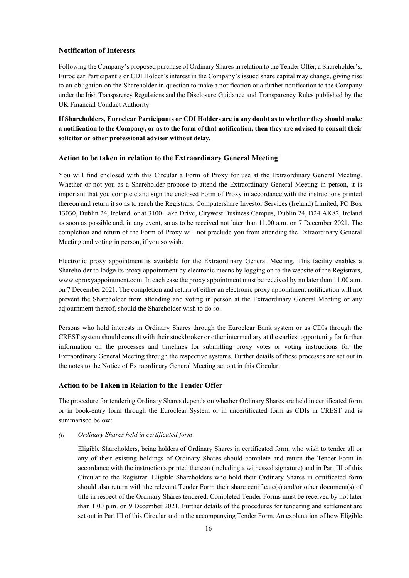## **Notification of Interests**

Following the Company's proposed purchase of Ordinary Sharesin relation to the Tender Offer, a Shareholder's, Euroclear Participant's or CDI Holder's interest in the Company's issued share capital may change, giving rise to an obligation on the Shareholder in question to make a notification or a further notification to the Company under the Irish Transparency Regulations and the Disclosure Guidance and Transparency Rules published by the UK Financial Conduct Authority.

**If Shareholders, Euroclear Participants or CDI Holders are in any doubt as to whether they should make a notification to the Company, or as to the form of that notification, then they are advised to consult their solicitor or other professional adviser without delay.**

#### **Action to be taken in relation to the Extraordinary General Meeting**

You will find enclosed with this Circular a Form of Proxy for use at the Extraordinary General Meeting. Whether or not you as a Shareholder propose to attend the Extraordinary General Meeting in person, it is important that you complete and sign the enclosed Form of Proxy in accordance with the instructions printed thereon and return it so as to reach the Registrars, Computershare Investor Services (Ireland) Limited, PO Box 13030, Dublin 24, Ireland or at 3100 Lake Drive, Citywest Business Campus, Dublin 24, D24 AK82, Ireland as soon as possible and, in any event, so as to be received not later than 11.00 a.m. on 7 December 2021. The completion and return of the Form of Proxy will not preclude you from attending the Extraordinary General Meeting and voting in person, if you so wish.

Electronic proxy appointment is available for the Extraordinary General Meeting. This facility enables a Shareholder to lodge its proxy appointment by electronic means by logging on to the website of the Registrars, www.eproxyappointment.com. In each case the proxy appointment must be received by no later than 11.00 a.m. on 7 December 2021. The completion and return of either an electronic proxy appointment notification will not prevent the Shareholder from attending and voting in person at the Extraordinary General Meeting or any adjournment thereof, should the Shareholder wish to do so.

Persons who hold interests in Ordinary Shares through the Euroclear Bank system or as CDIs through the CREST system should consult with their stockbroker or other intermediary at the earliest opportunity for further information on the processes and timelines for submitting proxy votes or voting instructions for the Extraordinary General Meeting through the respective systems. Further details of these processes are set out in the notes to the Notice of Extraordinary General Meeting set out in this Circular.

## **Action to be Taken in Relation to the Tender Offer**

The procedure for tendering Ordinary Shares depends on whether Ordinary Shares are held in certificated form or in book-entry form through the Euroclear System or in uncertificated form as CDIs in CREST and is summarised below:

#### *(i) Ordinary Shares held in certificated form*

Eligible Shareholders, being holders of Ordinary Shares in certificated form, who wish to tender all or any of their existing holdings of Ordinary Shares should complete and return the Tender Form in accordance with the instructions printed thereon (including a witnessed signature) and in Part III of this Circular to the Registrar. Eligible Shareholders who hold their Ordinary Shares in certificated form should also return with the relevant Tender Form their share certificate(s) and/or other document(s) of title in respect of the Ordinary Shares tendered. Completed Tender Forms must be received by not later than 1.00 p.m. on 9 December 2021. Further details of the procedures for tendering and settlement are set out in Part III of this Circular and in the accompanying Tender Form. An explanation of how Eligible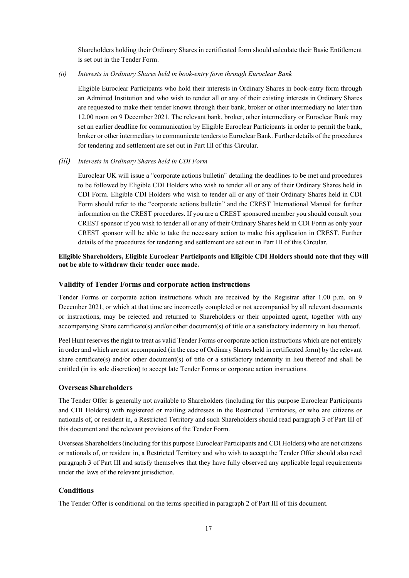Shareholders holding their Ordinary Shares in certificated form should calculate their Basic Entitlement is set out in the Tender Form.

*(ii) Interests in Ordinary Shares held in book-entry form through Euroclear Bank*

Eligible Euroclear Participants who hold their interests in Ordinary Shares in book-entry form through an Admitted Institution and who wish to tender all or any of their existing interests in Ordinary Shares are requested to make their tender known through their bank, broker or other intermediary no later than 12.00 noon on 9 December 2021. The relevant bank, broker, other intermediary or Euroclear Bank may set an earlier deadline for communication by Eligible Euroclear Participants in order to permit the bank, broker or other intermediary to communicate tenders to Euroclear Bank. Further details of the procedures for tendering and settlement are set out in Part III of this Circular.

#### *(iii) Interests in Ordinary Shares held in CDI Form*

Euroclear UK will issue a "corporate actions bulletin" detailing the deadlines to be met and procedures to be followed by Eligible CDI Holders who wish to tender all or any of their Ordinary Shares held in CDI Form. Eligible CDI Holders who wish to tender all or any of their Ordinary Shares held in CDI Form should refer to the "corporate actions bulletin" and the CREST International Manual for further information on the CREST procedures. If you are a CREST sponsored member you should consult your CREST sponsor if you wish to tender all or any of their Ordinary Shares held in CDI Form as only your CREST sponsor will be able to take the necessary action to make this application in CREST. Further details of the procedures for tendering and settlement are set out in Part III of this Circular.

## **Eligible Shareholders, Eligible Euroclear Participants and Eligible CDI Holders should note that they will not be able to withdraw their tender once made.**

#### **Validity of Tender Forms and corporate action instructions**

Tender Forms or corporate action instructions which are received by the Registrar after 1.00 p.m. on 9 December 2021, or which at that time are incorrectly completed or not accompanied by all relevant documents or instructions, may be rejected and returned to Shareholders or their appointed agent, together with any accompanying Share certificate(s) and/or other document(s) of title or a satisfactory indemnity in lieu thereof.

Peel Hunt reserves the right to treat as valid Tender Forms or corporate action instructions which are not entirely in order and which are not accompanied (in the case of Ordinary Shares held in certificated form) by the relevant share certificate(s) and/or other document(s) of title or a satisfactory indemnity in lieu thereof and shall be entitled (in its sole discretion) to accept late Tender Forms or corporate action instructions.

## **Overseas Shareholders**

The Tender Offer is generally not available to Shareholders (including for this purpose Euroclear Participants and CDI Holders) with registered or mailing addresses in the Restricted Territories, or who are citizens or nationals of, or resident in, a Restricted Territory and such Shareholders should read paragraph 3 of Part III of this document and the relevant provisions of the Tender Form.

Overseas Shareholders (including for this purpose Euroclear Participants and CDI Holders) who are not citizens or nationals of, or resident in, a Restricted Territory and who wish to accept the Tender Offer should also read paragraph 3 of Part III and satisfy themselves that they have fully observed any applicable legal requirements under the laws of the relevant jurisdiction.

## **Conditions**

The Tender Offer is conditional on the terms specified in paragraph 2 of Part III of this document.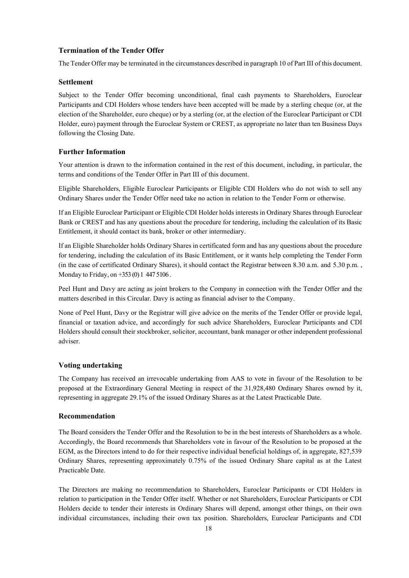# **Termination of the Tender Offer**

The Tender Offer may be terminated in the circumstances described in paragraph 10 of Part III of this document.

#### **Settlement**

Subject to the Tender Offer becoming unconditional, final cash payments to Shareholders, Euroclear Participants and CDI Holders whose tenders have been accepted will be made by a sterling cheque (or, at the election of the Shareholder, euro cheque) or by a sterling (or, at the election of the Euroclear Participant or CDI Holder, euro) payment through the Euroclear System or CREST, as appropriate no later than ten Business Days following the Closing Date.

#### **Further Information**

Your attention is drawn to the information contained in the rest of this document, including, in particular, the terms and conditions of the Tender Offer in Part III of this document.

Eligible Shareholders, Eligible Euroclear Participants or Eligible CDI Holders who do not wish to sell any Ordinary Shares under the Tender Offer need take no action in relation to the Tender Form or otherwise.

If an Eligible Euroclear Participant or Eligible CDI Holder holds interests in Ordinary Shares through Euroclear Bank or CREST and has any questions about the procedure for tendering, including the calculation of its Basic Entitlement, it should contact its bank, broker or other intermediary.

If an Eligible Shareholder holds Ordinary Shares in certificated form and has any questions about the procedure for tendering, including the calculation of its Basic Entitlement, or it wants help completing the Tender Form (in the case of certificated Ordinary Shares), it should contact the Registrar between 8.30 a.m. and 5.30 p.m. , Monday to Friday, on +353 (0) 1 447 5106 .

Peel Hunt and Davy are acting as joint brokers to the Company in connection with the Tender Offer and the matters described in this Circular. Davy is acting as financial adviser to the Company.

None of Peel Hunt, Davy or the Registrar will give advice on the merits of the Tender Offer or provide legal, financial or taxation advice, and accordingly for such advice Shareholders, Euroclear Participants and CDI Holders should consult their stockbroker, solicitor, accountant, bank manager or other independent professional adviser.

#### **Voting undertaking**

The Company has received an irrevocable undertaking from AAS to vote in favour of the Resolution to be proposed at the Extraordinary General Meeting in respect of the 31,928,480 Ordinary Shares owned by it, representing in aggregate 29.1% of the issued Ordinary Shares as at the Latest Practicable Date.

#### **Recommendation**

The Board considers the Tender Offer and the Resolution to be in the best interests of Shareholders as a whole. Accordingly, the Board recommends that Shareholders vote in favour of the Resolution to be proposed at the EGM, as the Directors intend to do for their respective individual beneficial holdings of, in aggregate, 827,539 Ordinary Shares, representing approximately 0.75% of the issued Ordinary Share capital as at the Latest Practicable Date.

The Directors are making no recommendation to Shareholders, Euroclear Participants or CDI Holders in relation to participation in the Tender Offer itself. Whether or not Shareholders, Euroclear Participants or CDI Holders decide to tender their interests in Ordinary Shares will depend, amongst other things, on their own individual circumstances, including their own tax position. Shareholders, Euroclear Participants and CDI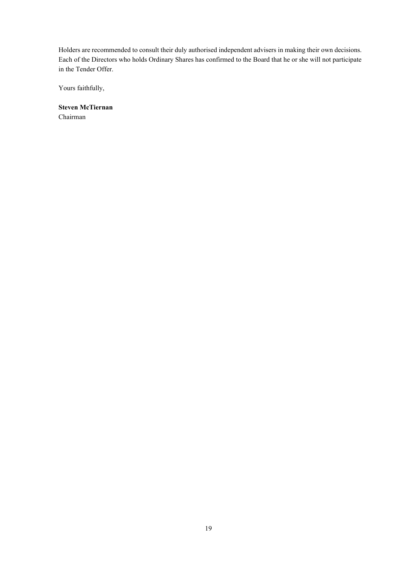Holders are recommended to consult their duly authorised independent advisers in making their own decisions. Each of the Directors who holds Ordinary Shares has confirmed to the Board that he or she will not participate in the Tender Offer.

Yours faithfully,

**Steven McTiernan** Chairman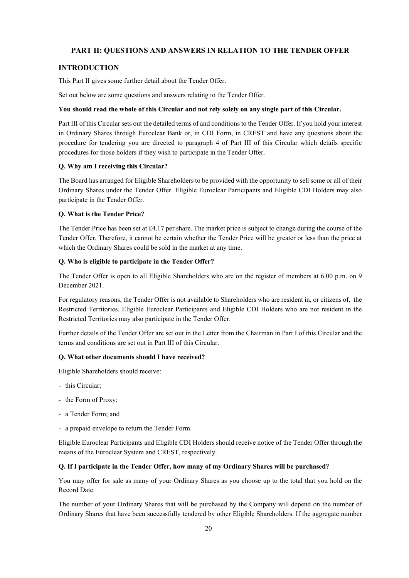## **PART II: QUESTIONS AND ANSWERS IN RELATION TO THE TENDER OFFER**

## **INTRODUCTION**

This Part II gives some further detail about the Tender Offer.

Set out below are some questions and answers relating to the Tender Offer.

#### **You should read the whole of this Circular and not rely solely on any single part of this Circular.**

Part III of this Circular sets out the detailed terms of and conditions to the Tender Offer. If you hold your interest in Ordinary Shares through Euroclear Bank or, in CDI Form, in CREST and have any questions about the procedure for tendering you are directed to paragraph 4 of Part III of this Circular which details specific procedures for those holders if they wish to participate in the Tender Offer.

## **Q. Why am I receiving this Circular?**

The Board has arranged for Eligible Shareholders to be provided with the opportunity to sell some or all of their Ordinary Shares under the Tender Offer. Eligible Euroclear Participants and Eligible CDI Holders may also participate in the Tender Offer.

#### **Q. What is the Tender Price?**

The Tender Price has been set at £4.17 per share. The market price is subject to change during the course of the Tender Offer. Therefore, it cannot be certain whether the Tender Price will be greater or less than the price at which the Ordinary Shares could be sold in the market at any time.

#### **Q. Who is eligible to participate in the Tender Offer?**

The Tender Offer is open to all Eligible Shareholders who are on the register of members at 6.00 p.m. on 9 December 2021.

For regulatory reasons, the Tender Offer is not available to Shareholders who are resident in, or citizens of, the Restricted Territories. Eligible Euroclear Participants and Eligible CDI Holders who are not resident in the Restricted Territories may also participate in the Tender Offer.

Further details of the Tender Offer are set out in the Letter from the Chairman in Part I of this Circular and the terms and conditions are set out in Part III of this Circular.

#### **Q. What other documents should I have received?**

Eligible Shareholders should receive:

- this Circular;
- the Form of Proxy;
- a Tender Form; and
- a prepaid envelope to return the Tender Form.

Eligible Euroclear Participants and Eligible CDI Holders should receive notice of the Tender Offer through the means of the Euroclear System and CREST, respectively.

#### **Q. If I participate in the Tender Offer, how many of my Ordinary Shares will be purchased?**

You may offer for sale as many of your Ordinary Shares as you choose up to the total that you hold on the Record Date.

The number of your Ordinary Shares that will be purchased by the Company will depend on the number of Ordinary Shares that have been successfully tendered by other Eligible Shareholders. If the aggregate number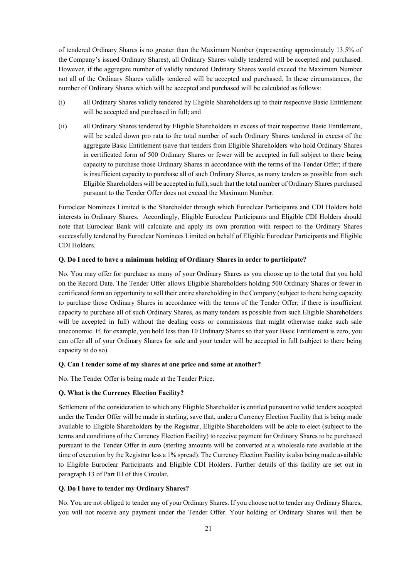of tendered Ordinary Shares is no greater than the Maximum Number (representing approximately 13.5% of the Company's issued Ordinary Shares), all Ordinary Shares validly tendered will be accepted and purchased. However, if the aggregate number of validly tendered Ordinary Shares would exceed the Maximum Number not all of the Ordinary Shares validly tendered will be accepted and purchased. In these circumstances, the number of Ordinary Shares which will be accepted and purchased will be calculated as follows:

- (i) all Ordinary Shares validly tendered by Eligible Shareholders up to their respective Basic Entitlement will be accepted and purchased in full; and
- (ii) all Ordinary Shares tendered by Eligible Shareholders in excess of their respective Basic Entitlement, will be scaled down pro rata to the total number of such Ordinary Shares tendered in excess of the aggregate Basic Entitlement (save that tenders from Eligible Shareholders who hold Ordinary Shares in certificated form of 500 Ordinary Shares or fewer will be accepted in full subject to there being capacity to purchase those Ordinary Shares in accordance with the terms of the Tender Offer; if there is insufficient capacity to purchase all of such Ordinary Shares, as many tenders as possible from such Eligible Shareholders will be accepted in full), such that the total number of Ordinary Shares purchased pursuant to the Tender Offer does not exceed the Maximum Number.

Euroclear Nominees Limited is the Shareholder through which Euroclear Participants and CDI Holders hold interests in Ordinary Shares. Accordingly, Eligible Euroclear Participants and Eligible CDI Holders should note that Euroclear Bank will calculate and apply its own proration with respect to the Ordinary Shares successfully tendered by Euroclear Nominees Limited on behalf of Eligible Euroclear Participants and Eligible CDI Holders.

#### **Q. Do I need to have a minimum holding of Ordinary Shares in order to participate?**

No. You may offer for purchase as many of your Ordinary Shares as you choose up to the total that you hold on the Record Date. The Tender Offer allows Eligible Shareholders holding 500 Ordinary Shares or fewer in certificated form an opportunity to sell their entire shareholding in the Company (subject to there being capacity to purchase those Ordinary Shares in accordance with the terms of the Tender Offer; if there is insufficient capacity to purchase all of such Ordinary Shares, as many tenders as possible from such Eligible Shareholders will be accepted in full) without the dealing costs or commissions that might otherwise make such sale uneconomic. If, for example, you hold less than 10 Ordinary Shares so that your Basic Entitlement is zero, you can offer all of your Ordinary Shares for sale and your tender will be accepted in full (subject to there being capacity to do so).

#### **Q. Can I tender some of my shares at one price and some at another?**

No. The Tender Offer is being made at the Tender Price.

#### **Q. What is the Currency Election Facility?**

Settlement of the consideration to which any Eligible Shareholder is entitled pursuant to valid tenders accepted under the Tender Offer will be made in sterling, save that, under a Currency Election Facility that is being made available to Eligible Shareholders by the Registrar, Eligible Shareholders will be able to elect (subject to the terms and conditions of the Currency Election Facility) to receive payment for Ordinary Shares to be purchased pursuant to the Tender Offer in euro (sterling amounts will be converted at a wholesale rate available at the time of execution by the Registrar less a 1% spread). The Currency Election Facility is also being made available to Eligible Euroclear Participants and Eligible CDI Holders. Further details of this facility are set out in paragraph 13 of Part III of this Circular.

#### **Q. Do I have to tender my Ordinary Shares?**

No. You are not obliged to tender any of your Ordinary Shares. If you choose not to tender any Ordinary Shares, you will not receive any payment under the Tender Offer. Your holding of Ordinary Shares will then be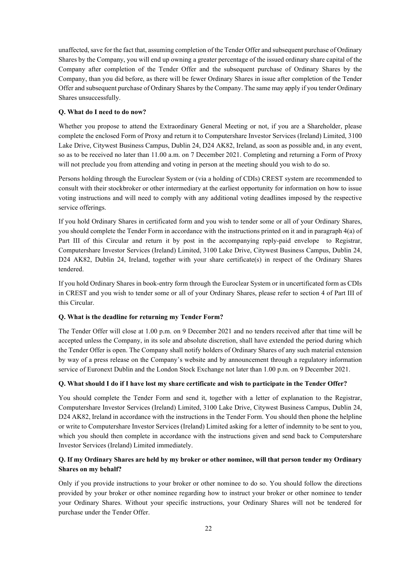unaffected, save for the fact that, assuming completion of the Tender Offer and subsequent purchase of Ordinary Shares by the Company, you will end up owning a greater percentage of the issued ordinary share capital of the Company after completion of the Tender Offer and the subsequent purchase of Ordinary Shares by the Company, than you did before, as there will be fewer Ordinary Shares in issue after completion of the Tender Offer and subsequent purchase of Ordinary Shares by the Company. The same may apply if you tender Ordinary Shares unsuccessfully.

## **Q. What do I need to do now?**

Whether you propose to attend the Extraordinary General Meeting or not, if you are a Shareholder, please complete the enclosed Form of Proxy and return it to Computershare Investor Services (Ireland) Limited, 3100 Lake Drive, Citywest Business Campus, Dublin 24, D24 AK82, Ireland, as soon as possible and, in any event, so as to be received no later than 11.00 a.m. on 7 December 2021. Completing and returning a Form of Proxy will not preclude you from attending and voting in person at the meeting should you wish to do so.

Persons holding through the Euroclear System or (via a holding of CDIs) CREST system are recommended to consult with their stockbroker or other intermediary at the earliest opportunity for information on how to issue voting instructions and will need to comply with any additional voting deadlines imposed by the respective service offerings.

If you hold Ordinary Shares in certificated form and you wish to tender some or all of your Ordinary Shares, you should complete the Tender Form in accordance with the instructions printed on it and in paragraph 4(a) of Part III of this Circular and return it by post in the accompanying reply-paid envelope to Registrar, Computershare Investor Services (Ireland) Limited, 3100 Lake Drive, Citywest Business Campus, Dublin 24, D24 AK82, Dublin 24, Ireland, together with your share certificate(s) in respect of the Ordinary Shares tendered.

If you hold Ordinary Shares in book-entry form through the Euroclear System or in uncertificated form as CDIs in CREST and you wish to tender some or all of your Ordinary Shares, please refer to section 4 of Part III of this Circular.

## **Q. What is the deadline for returning my Tender Form?**

The Tender Offer will close at 1.00 p.m. on 9 December 2021 and no tenders received after that time will be accepted unless the Company, in its sole and absolute discretion, shall have extended the period during which the Tender Offer is open. The Company shall notify holders of Ordinary Shares of any such material extension by way of a press release on the Company's website and by announcement through a regulatory information service of Euronext Dublin and the London Stock Exchange not later than 1.00 p.m. on 9 December 2021.

## **Q. What should I do if I have lost my share certificate and wish to participate in the Tender Offer?**

You should complete the Tender Form and send it, together with a letter of explanation to the Registrar, Computershare Investor Services (Ireland) Limited, 3100 Lake Drive, Citywest Business Campus, Dublin 24, D24 AK82, Ireland in accordance with the instructions in the Tender Form. You should then phone the helpline or write to Computershare Investor Services (Ireland) Limited asking for a letter of indemnity to be sent to you, which you should then complete in accordance with the instructions given and send back to Computershare Investor Services (Ireland) Limited immediately.

# **Q. If my Ordinary Shares are held by my broker or other nominee, will that person tender my Ordinary Shares on my behalf?**

Only if you provide instructions to your broker or other nominee to do so. You should follow the directions provided by your broker or other nominee regarding how to instruct your broker or other nominee to tender your Ordinary Shares. Without your specific instructions, your Ordinary Shares will not be tendered for purchase under the Tender Offer.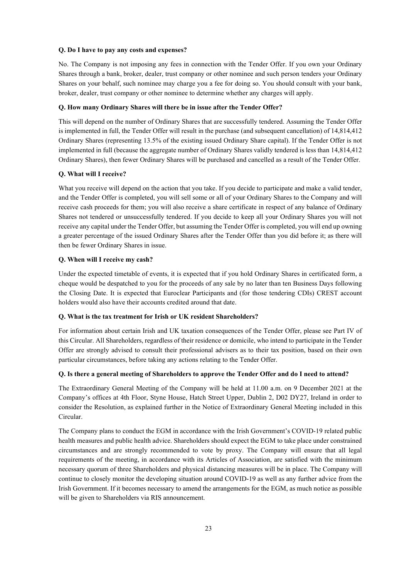## **Q. Do I have to pay any costs and expenses?**

No. The Company is not imposing any fees in connection with the Tender Offer. If you own your Ordinary Shares through a bank, broker, dealer, trust company or other nominee and such person tenders your Ordinary Shares on your behalf, such nominee may charge you a fee for doing so. You should consult with your bank, broker, dealer, trust company or other nominee to determine whether any charges will apply.

#### **Q. How many Ordinary Shares will there be in issue after the Tender Offer?**

This will depend on the number of Ordinary Shares that are successfully tendered. Assuming the Tender Offer is implemented in full, the Tender Offer will result in the purchase (and subsequent cancellation) of 14,814,412 Ordinary Shares (representing 13.5% of the existing issued Ordinary Share capital). If the Tender Offer is not implemented in full (because the aggregate number of Ordinary Shares validly tendered is less than 14,814,412 Ordinary Shares), then fewer Ordinary Shares will be purchased and cancelled as a result of the Tender Offer.

#### **Q. What will I receive?**

What you receive will depend on the action that you take. If you decide to participate and make a valid tender, and the Tender Offer is completed, you will sell some or all of your Ordinary Shares to the Company and will receive cash proceeds for them; you will also receive a share certificate in respect of any balance of Ordinary Shares not tendered or unsuccessfully tendered. If you decide to keep all your Ordinary Shares you will not receive any capital under the Tender Offer, but assuming the Tender Offer is completed, you will end up owning a greater percentage of the issued Ordinary Shares after the Tender Offer than you did before it; as there will then be fewer Ordinary Shares in issue.

#### **Q. When will I receive my cash?**

Under the expected timetable of events, it is expected that if you hold Ordinary Shares in certificated form, a cheque would be despatched to you for the proceeds of any sale by no later than ten Business Days following the Closing Date. It is expected that Euroclear Participants and (for those tendering CDIs) CREST account holders would also have their accounts credited around that date.

#### **Q. What is the tax treatment for Irish or UK resident Shareholders?**

For information about certain Irish and UK taxation consequences of the Tender Offer, please see Part IV of this Circular. All Shareholders, regardless of their residence or domicile, who intend to participate in the Tender Offer are strongly advised to consult their professional advisers as to their tax position, based on their own particular circumstances, before taking any actions relating to the Tender Offer.

#### **Q. Is there a general meeting of Shareholders to approve the Tender Offer and do I need to attend?**

The Extraordinary General Meeting of the Company will be held at 11.00 a.m. on 9 December 2021 at the Company's offices at 4th Floor, Styne House, Hatch Street Upper, Dublin 2, D02 DY27, Ireland in order to consider the Resolution, as explained further in the Notice of Extraordinary General Meeting included in this Circular.

The Company plans to conduct the EGM in accordance with the Irish Government's COVID-19 related public health measures and public health advice. Shareholders should expect the EGM to take place under constrained circumstances and are strongly recommended to vote by proxy. The Company will ensure that all legal requirements of the meeting, in accordance with its Articles of Association, are satisfied with the minimum necessary quorum of three Shareholders and physical distancing measures will be in place. The Company will continue to closely monitor the developing situation around COVID-19 as well as any further advice from the Irish Government. If it becomes necessary to amend the arrangements for the EGM, as much notice as possible will be given to Shareholders via RIS announcement.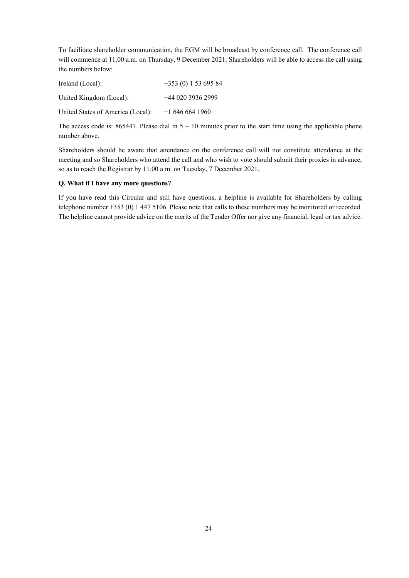To facilitate shareholder communication, the EGM will be broadcast by conference call. The conference call will commence at 11.00 a.m. on Thursday, 9 December 2021. Shareholders will be able to access the call using the numbers below:

| Ireland (Local):                  | $+353(0)15369584$ |
|-----------------------------------|-------------------|
| United Kingdom (Local):           | $+4402039362999$  |
| United States of America (Local): | $+16466641960$    |

The access code is: 865447. Please dial in  $5 - 10$  minutes prior to the start time using the applicable phone number above.

Shareholders should be aware that attendance on the conference call will not constitute attendance at the meeting and so Shareholders who attend the call and who wish to vote should submit their proxies in advance, so as to reach the Registrar by 11.00 a.m. on Tuesday, 7 December 2021.

## **Q. What if I have any more questions?**

If you have read this Circular and still have questions, a helpline is available for Shareholders by calling telephone number +353 (0) 1 447 5106. Please note that calls to these numbers may be monitored or recorded. The helpline cannot provide advice on the merits of the Tender Offer nor give any financial, legal or tax advice.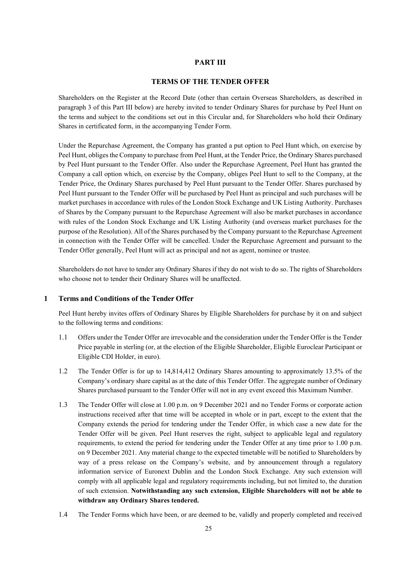## **PART III**

## **TERMS OF THE TENDER OFFER**

Shareholders on the Register at the Record Date (other than certain Overseas Shareholders, as described in paragraph 3 of this Part III below) are hereby invited to tender Ordinary Shares for purchase by Peel Hunt on the terms and subject to the conditions set out in this Circular and, for Shareholders who hold their Ordinary Shares in certificated form, in the accompanying Tender Form.

Under the Repurchase Agreement, the Company has granted a put option to Peel Hunt which, on exercise by Peel Hunt, obliges the Company to purchase from Peel Hunt, at the Tender Price, the Ordinary Shares purchased by Peel Hunt pursuant to the Tender Offer. Also under the Repurchase Agreement, Peel Hunt has granted the Company a call option which, on exercise by the Company, obliges Peel Hunt to sell to the Company, at the Tender Price, the Ordinary Shares purchased by Peel Hunt pursuant to the Tender Offer. Shares purchased by Peel Hunt pursuant to the Tender Offer will be purchased by Peel Hunt as principal and such purchases will be market purchases in accordance with rules of the London Stock Exchange and UK Listing Authority. Purchases of Shares by the Company pursuant to the Repurchase Agreement will also be market purchases in accordance with rules of the London Stock Exchange and UK Listing Authority (and overseas market purchases for the purpose of the Resolution). All of the Shares purchased by the Company pursuant to the Repurchase Agreement in connection with the Tender Offer will be cancelled. Under the Repurchase Agreement and pursuant to the Tender Offer generally, Peel Hunt will act as principal and not as agent, nominee or trustee.

Shareholders do not have to tender any Ordinary Shares if they do not wish to do so. The rights of Shareholders who choose not to tender their Ordinary Shares will be unaffected.

## **1 Terms and Conditions of the Tender Offer**

Peel Hunt hereby invites offers of Ordinary Shares by Eligible Shareholders for purchase by it on and subject to the following terms and conditions:

- 1.1 Offers under the Tender Offer are irrevocable and the consideration under the Tender Offer is the Tender Price payable in sterling (or, at the election of the Eligible Shareholder, Eligible Euroclear Participant or Eligible CDI Holder, in euro).
- 1.2 The Tender Offer is for up to 14,814,412 Ordinary Shares amounting to approximately 13.5% of the Company's ordinary share capital as at the date of this Tender Offer. The aggregate number of Ordinary Shares purchased pursuant to the Tender Offer will not in any event exceed this Maximum Number.
- 1.3 The Tender Offer will close at 1.00 p.m. on 9 December 2021 and no Tender Forms or corporate action instructions received after that time will be accepted in whole or in part, except to the extent that the Company extends the period for tendering under the Tender Offer, in which case a new date for the Tender Offer will be given. Peel Hunt reserves the right, subject to applicable legal and regulatory requirements, to extend the period for tendering under the Tender Offer at any time prior to 1.00 p.m. on 9 December 2021. Any material change to the expected timetable will be notified to Shareholders by way of a press release on the Company's website, and by announcement through a regulatory information service of Euronext Dublin and the London Stock Exchange. Any such extension will comply with all applicable legal and regulatory requirements including, but not limited to, the duration of such extension. **Notwithstanding any such extension, Eligible Shareholders will not be able to withdraw any Ordinary Shares tendered.**
- 1.4 The Tender Forms which have been, or are deemed to be, validly and properly completed and received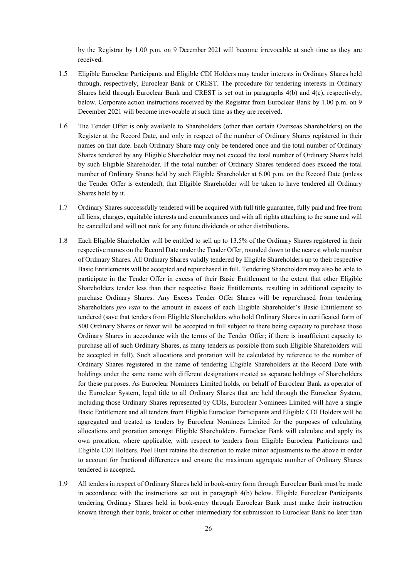by the Registrar by 1.00 p.m. on 9 December 2021 will become irrevocable at such time as they are received.

- 1.5 Eligible Euroclear Participants and Eligible CDI Holders may tender interests in Ordinary Shares held through, respectively, Euroclear Bank or CREST. The procedure for tendering interests in Ordinary Shares held through Euroclear Bank and CREST is set out in paragraphs 4(b) and 4(c), respectively, below. Corporate action instructions received by the Registrar from Euroclear Bank by 1.00 p.m. on 9 December 2021 will become irrevocable at such time as they are received.
- 1.6 The Tender Offer is only available to Shareholders (other than certain Overseas Shareholders) on the Register at the Record Date, and only in respect of the number of Ordinary Shares registered in their names on that date. Each Ordinary Share may only be tendered once and the total number of Ordinary Shares tendered by any Eligible Shareholder may not exceed the total number of Ordinary Shares held by such Eligible Shareholder. If the total number of Ordinary Shares tendered does exceed the total number of Ordinary Shares held by such Eligible Shareholder at 6.00 p.m. on the Record Date (unless the Tender Offer is extended), that Eligible Shareholder will be taken to have tendered all Ordinary Shares held by it.
- 1.7 Ordinary Shares successfully tendered will be acquired with full title guarantee, fully paid and free from all liens, charges, equitable interests and encumbrances and with all rights attaching to the same and will be cancelled and will not rank for any future dividends or other distributions.
- 1.8 Each Eligible Shareholder will be entitled to sell up to 13.5% of the Ordinary Shares registered in their respective names on the Record Date under the Tender Offer, rounded down to the nearest whole number of Ordinary Shares. All Ordinary Shares validly tendered by Eligible Shareholders up to their respective Basic Entitlements will be accepted and repurchased in full. Tendering Shareholders may also be able to participate in the Tender Offer in excess of their Basic Entitlement to the extent that other Eligible Shareholders tender less than their respective Basic Entitlements, resulting in additional capacity to purchase Ordinary Shares. Any Excess Tender Offer Shares will be repurchased from tendering Shareholders *pro rata* to the amount in excess of each Eligible Shareholder's Basic Entitlement so tendered (save that tenders from Eligible Shareholders who hold Ordinary Shares in certificated form of 500 Ordinary Shares or fewer will be accepted in full subject to there being capacity to purchase those Ordinary Shares in accordance with the terms of the Tender Offer; if there is insufficient capacity to purchase all of such Ordinary Shares, as many tenders as possible from such Eligible Shareholders will be accepted in full). Such allocations and proration will be calculated by reference to the number of Ordinary Shares registered in the name of tendering Eligible Shareholders at the Record Date with holdings under the same name with different designations treated as separate holdings of Shareholders for these purposes. As Euroclear Nominees Limited holds, on behalf of Euroclear Bank as operator of the Euroclear System, legal title to all Ordinary Shares that are held through the Euroclear System, including those Ordinary Shares represented by CDIs, Euroclear Nominees Limited will have a single Basic Entitlement and all tenders from Eligible Euroclear Participants and Eligible CDI Holders will be aggregated and treated as tenders by Euroclear Nominees Limited for the purposes of calculating allocations and proration amongst Eligible Shareholders. Euroclear Bank will calculate and apply its own proration, where applicable, with respect to tenders from Eligible Euroclear Participants and Eligible CDI Holders. Peel Hunt retains the discretion to make minor adjustments to the above in order to account for fractional differences and ensure the maximum aggregate number of Ordinary Shares tendered is accepted.
- 1.9 All tenders in respect of Ordinary Shares held in book-entry form through Euroclear Bank must be made in accordance with the instructions set out in paragraph 4(b) below. Eligible Euroclear Participants tendering Ordinary Shares held in book-entry through Euroclear Bank must make their instruction known through their bank, broker or other intermediary for submission to Euroclear Bank no later than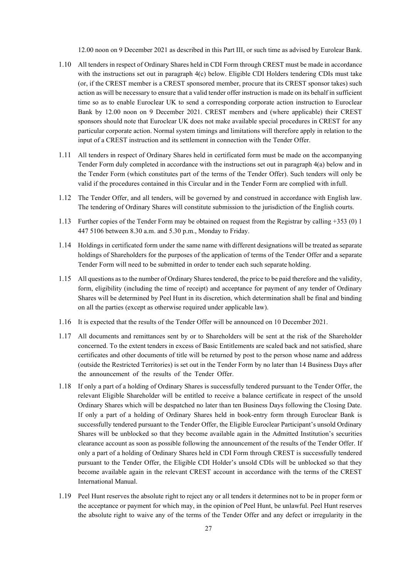12.00 noon on 9 December 2021 as described in this Part III, or such time as advised by Eurolear Bank.

- 1.10 All tenders in respect of Ordinary Shares held in CDI Form through CREST must be made in accordance with the instructions set out in paragraph 4(c) below. Eligible CDI Holders tendering CDIs must take (or, if the CREST member is a CREST sponsored member, procure that its CREST sponsor takes) such action as will be necessary to ensure that a valid tender offer instruction is made on its behalf in sufficient time so as to enable Euroclear UK to send a corresponding corporate action instruction to Euroclear Bank by 12.00 noon on 9 December 2021. CREST members and (where applicable) their CREST sponsors should note that Euroclear UK does not make available special procedures in CREST for any particular corporate action. Normal system timings and limitations will therefore apply in relation to the input of a CREST instruction and its settlement in connection with the Tender Offer.
- 1.11 All tenders in respect of Ordinary Shares held in certificated form must be made on the accompanying Tender Form duly completed in accordance with the instructions set out in paragraph 4(a) below and in the Tender Form (which constitutes part of the terms of the Tender Offer). Such tenders will only be valid if the procedures contained in this Circular and in the Tender Form are complied with infull.
- 1.12 The Tender Offer, and all tenders, will be governed by and construed in accordance with English law. The tendering of Ordinary Shares will constitute submission to the jurisdiction of the English courts.
- 1.13 Further copies of the Tender Form may be obtained on request from the Registrar by calling +353 (0) 1 447 5106 between 8.30 a.m. and 5.30 p.m., Monday to Friday.
- 1.14 Holdings in certificated form under the same name with different designations will be treated asseparate holdings of Shareholders for the purposes of the application of terms of the Tender Offer and a separate Tender Form will need to be submitted in order to tender each such separate holding.
- 1.15 All questions asto the number of Ordinary Sharestendered, the price to be paid therefore and the validity, form, eligibility (including the time of receipt) and acceptance for payment of any tender of Ordinary Shares will be determined by Peel Hunt in its discretion, which determination shall be final and binding on all the parties (except as otherwise required under applicable law).
- 1.16 It is expected that the results of the Tender Offer will be announced on 10 December 2021.
- 1.17 All documents and remittances sent by or to Shareholders will be sent at the risk of the Shareholder concerned. To the extent tenders in excess of Basic Entitlements are scaled back and not satisfied, share certificates and other documents of title will be returned by post to the person whose name and address (outside the Restricted Territories) is set out in the Tender Form by no later than 14 Business Days after the announcement of the results of the Tender Offer.
- 1.18 If only a part of a holding of Ordinary Shares is successfully tendered pursuant to the Tender Offer, the relevant Eligible Shareholder will be entitled to receive a balance certificate in respect of the unsold Ordinary Shares which will be despatched no later than ten Business Days following the Closing Date. If only a part of a holding of Ordinary Shares held in book-entry form through Euroclear Bank is successfully tendered pursuant to the Tender Offer, the Eligible Euroclear Participant's unsold Ordinary Shares will be unblocked so that they become available again in the Admitted Institution's securities clearance account as soon as possible following the announcement of the results of the Tender Offer. If only a part of a holding of Ordinary Shares held in CDI Form through CREST is successfully tendered pursuant to the Tender Offer, the Eligible CDI Holder's unsold CDIs will be unblocked so that they become available again in the relevant CREST account in accordance with the terms of the CREST International Manual.
- 1.19 Peel Hunt reserves the absolute right to reject any or all tenders it determines not to be in proper form or the acceptance or payment for which may, in the opinion of Peel Hunt, be unlawful. Peel Hunt reserves the absolute right to waive any of the terms of the Tender Offer and any defect or irregularity in the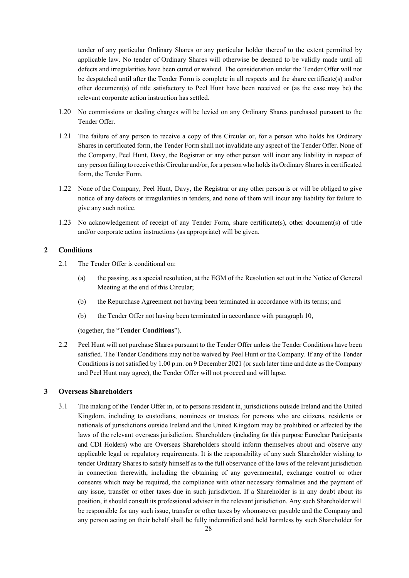tender of any particular Ordinary Shares or any particular holder thereof to the extent permitted by applicable law. No tender of Ordinary Shares will otherwise be deemed to be validly made until all defects and irregularities have been cured or waived. The consideration under the Tender Offer will not be despatched until after the Tender Form is complete in all respects and the share certificate(s) and/or other document(s) of title satisfactory to Peel Hunt have been received or (as the case may be) the relevant corporate action instruction has settled.

- 1.20 No commissions or dealing charges will be levied on any Ordinary Shares purchased pursuant to the Tender Offer.
- 1.21 The failure of any person to receive a copy of this Circular or, for a person who holds his Ordinary Shares in certificated form, the Tender Form shall not invalidate any aspect of the Tender Offer. None of the Company, Peel Hunt, Davy, the Registrar or any other person will incur any liability in respect of any person failing to receive this Circular and/or, for a person who holds its Ordinary Shares in certificated form, the Tender Form.
- 1.22 None of the Company, Peel Hunt, Davy, the Registrar or any other person is or will be obliged to give notice of any defects or irregularities in tenders, and none of them will incur any liability for failure to give any such notice.
- 1.23 No acknowledgement of receipt of any Tender Form, share certificate(s), other document(s) of title and/or corporate action instructions (as appropriate) will be given.

# **2 Conditions**

- 2.1 The Tender Offer is conditional on:
	- (a) the passing, as a special resolution, at the EGM of the Resolution set out in the Notice of General Meeting at the end of this Circular;
	- (b) the Repurchase Agreement not having been terminated in accordance with its terms; and
	- (b) the Tender Offer not having been terminated in accordance with paragraph 10,

(together, the "**Tender Conditions**").

2.2 Peel Hunt will not purchase Shares pursuant to the Tender Offer unless the Tender Conditions have been satisfied. The Tender Conditions may not be waived by Peel Hunt or the Company. If any of the Tender Conditions is not satisfied by 1.00 p.m. on 9 December 2021 (or such later time and date as the Company and Peel Hunt may agree), the Tender Offer will not proceed and will lapse.

# **3 Overseas Shareholders**

3.1 The making of the Tender Offer in, or to persons resident in, jurisdictions outside Ireland and the United Kingdom, including to custodians, nominees or trustees for persons who are citizens, residents or nationals of jurisdictions outside Ireland and the United Kingdom may be prohibited or affected by the laws of the relevant overseas jurisdiction. Shareholders (including for this purpose Euroclear Participants and CDI Holders) who are Overseas Shareholders should inform themselves about and observe any applicable legal or regulatory requirements. It is the responsibility of any such Shareholder wishing to tender Ordinary Shares to satisfy himself as to the full observance of the laws of the relevant jurisdiction in connection therewith, including the obtaining of any governmental, exchange control or other consents which may be required, the compliance with other necessary formalities and the payment of any issue, transfer or other taxes due in such jurisdiction. If a Shareholder is in any doubt about its position, it should consult its professional adviser in the relevant jurisdiction. Any such Shareholder will be responsible for any such issue, transfer or other taxes by whomsoever payable and the Company and any person acting on their behalf shall be fully indemnified and held harmless by such Shareholder for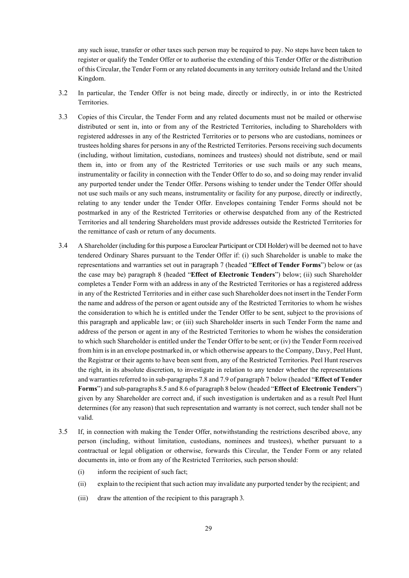any such issue, transfer or other taxes such person may be required to pay. No steps have been taken to register or qualify the Tender Offer or to authorise the extending of this Tender Offer or the distribution of this Circular, the Tender Form or any related documents in any territory outside Ireland and the United Kingdom.

- 3.2 In particular, the Tender Offer is not being made, directly or indirectly, in or into the Restricted Territories.
- 3.3 Copies of this Circular, the Tender Form and any related documents must not be mailed or otherwise distributed or sent in, into or from any of the Restricted Territories, including to Shareholders with registered addresses in any of the Restricted Territories or to persons who are custodians, nominees or trustees holding shares for persons in any of the Restricted Territories. Persons receiving such documents (including, without limitation, custodians, nominees and trustees) should not distribute, send or mail them in, into or from any of the Restricted Territories or use such mails or any such means, instrumentality or facility in connection with the Tender Offer to do so, and so doing may render invalid any purported tender under the Tender Offer. Persons wishing to tender under the Tender Offer should not use such mails or any such means, instrumentality or facility for any purpose, directly or indirectly, relating to any tender under the Tender Offer. Envelopes containing Tender Forms should not be postmarked in any of the Restricted Territories or otherwise despatched from any of the Restricted Territories and all tendering Shareholders must provide addresses outside the Restricted Territories for the remittance of cash or return of any documents.
- 3.4 A Shareholder (including for this purpose a Euroclear Participant or CDI Holder) will be deemed not to have tendered Ordinary Shares pursuant to the Tender Offer if: (i) such Shareholder is unable to make the representations and warranties set out in paragraph 7 (headed "**Effect of Tender Forms**") below or (as the case may be) paragraph 8 (headed "**Effect of Electronic Tenders**") below; (ii) such Shareholder completes a Tender Form with an address in any of the Restricted Territories or has a registered address in any of the Restricted Territories and in either case such Shareholder does not insert in the Tender Form the name and address of the person or agent outside any of the Restricted Territories to whom he wishes the consideration to which he is entitled under the Tender Offer to be sent, subject to the provisions of this paragraph and applicable law; or (iii) such Shareholder inserts in such Tender Form the name and address of the person or agent in any of the Restricted Territories to whom he wishes the consideration to which such Shareholder is entitled under the Tender Offer to be sent; or (iv) the Tender Form received from him isin an envelope postmarked in, or which otherwise appears to the Company, Davy, Peel Hunt, the Registrar or their agents to have been sent from, any of the Restricted Territories. Peel Hunt reserves the right, in its absolute discretion, to investigate in relation to any tender whether the representations and warranties referred to in sub-paragraphs 7.8 and 7.9 of paragraph 7 below (headed "**Effect of Tender Forms**") and sub-paragraphs 8.5 and 8.6 of paragraph 8 below (headed "**Effect of Electronic Tenders**") given by any Shareholder are correct and, if such investigation is undertaken and as a result Peel Hunt determines (for any reason) that such representation and warranty is not correct, such tender shall not be valid.
- 3.5 If, in connection with making the Tender Offer, notwithstanding the restrictions described above, any person (including, without limitation, custodians, nominees and trustees), whether pursuant to a contractual or legal obligation or otherwise, forwards this Circular, the Tender Form or any related documents in, into or from any of the Restricted Territories, such person should:
	- (i) inform the recipient of such fact;
	- (ii) explain to the recipient thatsuch action may invalidate any purported tender by the recipient; and
	- (iii) draw the attention of the recipient to this paragraph 3.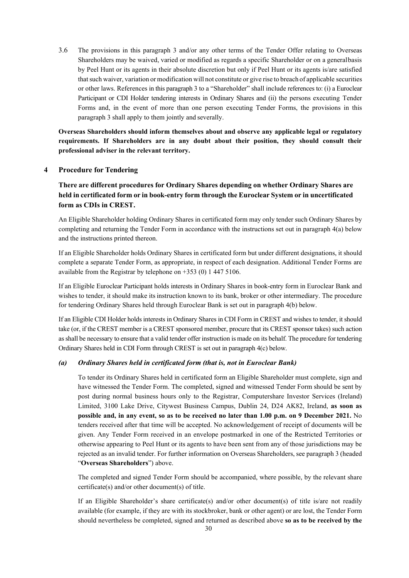3.6 The provisions in this paragraph 3 and/or any other terms of the Tender Offer relating to Overseas Shareholders may be waived, varied or modified as regards a specific Shareholder or on a generalbasis by Peel Hunt or its agents in their absolute discretion but only if Peel Hunt or its agents is/are satisfied thatsuch waiver, variation or modification will not constitute or give rise to breach of applicable securities or other laws. References in this paragraph 3 to a "Shareholder" shall include references to: (i) a Euroclear Participant or CDI Holder tendering interests in Ordinary Shares and (ii) the persons executing Tender Forms and, in the event of more than one person executing Tender Forms, the provisions in this paragraph 3 shall apply to them jointly and severally.

**Overseas Shareholders should inform themselves about and observe any applicable legal or regulatory requirements. If Shareholders are in any doubt about their position, they should consult their professional adviser in the relevant territory.**

## **4 Procedure for Tendering**

**There are different procedures for Ordinary Shares depending on whether Ordinary Shares are held in certificated form or in book-entry form through the Euroclear System or in uncertificated form as CDIs in CREST.**

An Eligible Shareholder holding Ordinary Shares in certificated form may only tender such Ordinary Shares by completing and returning the Tender Form in accordance with the instructions set out in paragraph 4(a) below and the instructions printed thereon.

If an Eligible Shareholder holds Ordinary Shares in certificated form but under different designations, it should complete a separate Tender Form, as appropriate, in respect of each designation. Additional Tender Forms are available from the Registrar by telephone on +353 (0) 1 447 5106.

If an Eligible Euroclear Participant holds interests in Ordinary Shares in book-entry form in Euroclear Bank and wishes to tender, it should make its instruction known to its bank, broker or other intermediary. The procedure for tendering Ordinary Shares held through Euroclear Bank is set out in paragraph 4(b) below.

If an Eligible CDI Holder holds interests in Ordinary Shares in CDI Form in CREST and wishes to tender, it should take (or, if the CREST member is a CREST sponsored member, procure that its CREST sponsor takes) such action as shall be necessary to ensure that a valid tender offer instruction is made on its behalf. The procedure for tendering Ordinary Shares held in CDI Form through CREST is set out in paragraph 4(c) below.

# *(a) Ordinary Shares held in certificated form (that is, not in Euroclear Bank)*

To tender its Ordinary Shares held in certificated form an Eligible Shareholder must complete, sign and have witnessed the Tender Form. The completed, signed and witnessed Tender Form should be sent by post during normal business hours only to the Registrar, Computershare Investor Services (Ireland) Limited, 3100 Lake Drive, Citywest Business Campus, Dublin 24, D24 AK82, Ireland, **as soon as possible and, in any event, so as to be received no later than 1.00 p.m. on 9 December 2021.** No tenders received after that time will be accepted. No acknowledgement of receipt of documents will be given. Any Tender Form received in an envelope postmarked in one of the Restricted Territories or otherwise appearing to Peel Hunt or its agents to have been sent from any of those jurisdictions may be rejected as an invalid tender. For further information on Overseas Shareholders, see paragraph 3 (headed "**Overseas Shareholders**") above.

The completed and signed Tender Form should be accompanied, where possible, by the relevant share certificate(s) and/or other document(s) of title.

If an Eligible Shareholder's share certificate(s) and/or other document(s) of title is/are not readily available (for example, if they are with its stockbroker, bank or other agent) or are lost, the Tender Form should nevertheless be completed, signed and returned as described above **so as to be received by the**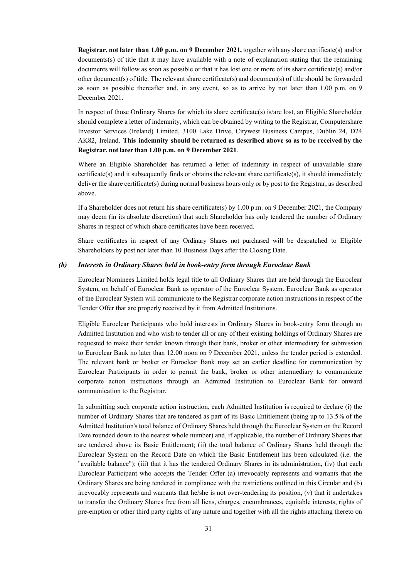**Registrar, not later than 1.00 p.m. on 9 December 2021,** together with any share certificate(s) and/or documents(s) of title that it may have available with a note of explanation stating that the remaining documents will follow as soon as possible or that it has lost one or more of its share certificate(s) and/or other document(s) of title. The relevant share certificate(s) and document(s) of title should be forwarded as soon as possible thereafter and, in any event, so as to arrive by not later than 1.00 p.m. on 9 December 2021.

In respect of those Ordinary Shares for which its share certificate(s) is/are lost, an Eligible Shareholder should complete a letter of indemnity, which can be obtained by writing to the Registrar, Computershare Investor Services (Ireland) Limited, 3100 Lake Drive, Citywest Business Campus, Dublin 24, D24 AK82, Ireland. **This indemnity should be returned as described above so as to be received by the Registrar, not later than 1.00 p.m. on 9 December 2021**.

Where an Eligible Shareholder has returned a letter of indemnity in respect of unavailable share certificate(s) and it subsequently finds or obtains the relevant share certificate(s), it should immediately deliver the share certificate(s) during normal business hours only or by post to the Registrar, as described above.

If a Shareholder does not return his share certificate(s) by 1.00 p.m. on 9 December 2021, the Company may deem (in its absolute discretion) that such Shareholder has only tendered the number of Ordinary Shares in respect of which share certificates have been received.

Share certificates in respect of any Ordinary Shares not purchased will be despatched to Eligible Shareholders by post not later than 10 Business Days after the Closing Date.

## *(b) Interests in Ordinary Shares held in book-entry form through Euroclear Bank*

Euroclear Nominees Limited holds legal title to all Ordinary Shares that are held through the Euroclear System, on behalf of Euroclear Bank as operator of the Euroclear System. Euroclear Bank as operator of the Euroclear System will communicate to the Registrar corporate action instructions in respect of the Tender Offer that are properly received by it from Admitted Institutions.

Eligible Euroclear Participants who hold interests in Ordinary Shares in book-entry form through an Admitted Institution and who wish to tender all or any of their existing holdings of Ordinary Shares are requested to make their tender known through their bank, broker or other intermediary for submission to Euroclear Bank no later than 12.00 noon on 9 December 2021, unless the tender period is extended. The relevant bank or broker or Euroclear Bank may set an earlier deadline for communication by Euroclear Participants in order to permit the bank, broker or other intermediary to communicate corporate action instructions through an Admitted Institution to Euroclear Bank for onward communication to the Registrar.

In submitting such corporate action instruction, each Admitted Institution is required to declare (i) the number of Ordinary Shares that are tendered as part of its Basic Entitlement (being up to 13.5% of the Admitted Institution's total balance of Ordinary Shares held through the Euroclear System on the Record Date rounded down to the nearest whole number) and, if applicable, the number of Ordinary Shares that are tendered above its Basic Entitlement; (ii) the total balance of Ordinary Shares held through the Euroclear System on the Record Date on which the Basic Entitlement has been calculated (i.e. the "available balance"); (iii) that it has the tendered Ordinary Shares in its administration, (iv) that each Euroclear Participant who accepts the Tender Offer (a) irrevocably represents and warrants that the Ordinary Shares are being tendered in compliance with the restrictions outlined in this Circular and (b) irrevocably represents and warrants that he/she is not over-tendering its position, (v) that it undertakes to transfer the Ordinary Shares free from all liens, charges, encumbrances, equitable interests, rights of pre-emption or other third party rights of any nature and together with all the rights attaching thereto on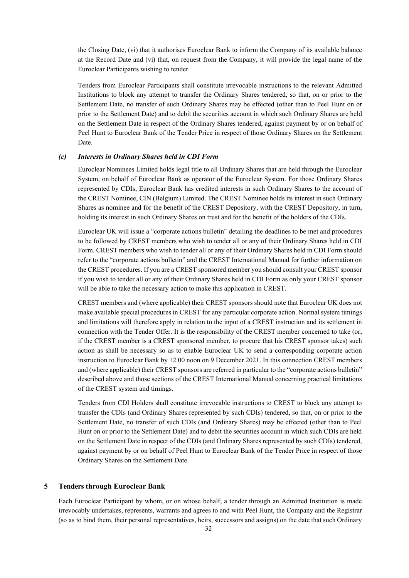the Closing Date, (vi) that it authorises Euroclear Bank to inform the Company of its available balance at the Record Date and (vi) that, on request from the Company, it will provide the legal name of the Euroclear Participants wishing to tender.

Tenders from Euroclear Participants shall constitute irrevocable instructions to the relevant Admitted Institutions to block any attempt to transfer the Ordinary Shares tendered, so that, on or prior to the Settlement Date, no transfer of such Ordinary Shares may be effected (other than to Peel Hunt on or prior to the Settlement Date) and to debit the securities account in which such Ordinary Shares are held on the Settlement Date in respect of the Ordinary Shares tendered, against payment by or on behalf of Peel Hunt to Euroclear Bank of the Tender Price in respect of those Ordinary Shares on the Settlement Date.

#### *(c) Interests in Ordinary Shares held in CDI Form*

Euroclear Nominees Limited holds legal title to all Ordinary Shares that are held through the Euroclear System, on behalf of Euroclear Bank as operator of the Euroclear System. For those Ordinary Shares represented by CDIs, Euroclear Bank has credited interests in such Ordinary Shares to the account of the CREST Nominee, CIN (Belgium) Limited. The CREST Nominee holds its interest in such Ordinary Shares as nominee and for the benefit of the CREST Depository, with the CREST Depository, in turn, holding its interest in such Ordinary Shares on trust and for the benefit of the holders of the CDIs.

Euroclear UK will issue a "corporate actions bulletin" detailing the deadlines to be met and procedures to be followed by CREST members who wish to tender all or any of their Ordinary Shares held in CDI Form. CREST members who wish to tender all or any of their Ordinary Shares held in CDI Form should refer to the "corporate actions bulletin" and the CREST International Manual for further information on the CREST procedures. If you are a CREST sponsored member you should consult your CREST sponsor if you wish to tender all or any of their Ordinary Shares held in CDI Form as only your CREST sponsor will be able to take the necessary action to make this application in CREST.

CREST members and (where applicable) their CREST sponsors should note that Euroclear UK does not make available special procedures in CREST for any particular corporate action. Normal system timings and limitations will therefore apply in relation to the input of a CREST instruction and its settlement in connection with the Tender Offer. It is the responsibility of the CREST member concerned to take (or, if the CREST member is a CREST sponsored member, to procure that his CREST sponsor takes) such action as shall be necessary so as to enable Euroclear UK to send a corresponding corporate action instruction to Euroclear Bank by 12.00 noon on 9 December 2021. In this connection CREST members and (where applicable) their CREST sponsors are referred in particular to the "corporate actions bulletin" described above and those sections of the CREST International Manual concerning practical limitations of the CREST system and timings.

Tenders from CDI Holders shall constitute irrevocable instructions to CREST to block any attempt to transfer the CDIs (and Ordinary Shares represented by such CDIs) tendered, so that, on or prior to the Settlement Date, no transfer of such CDIs (and Ordinary Shares) may be effected (other than to Peel Hunt on or prior to the Settlement Date) and to debit the securities account in which such CDIs are held on the Settlement Date in respect of the CDIs (and Ordinary Shares represented by such CDIs) tendered, against payment by or on behalf of Peel Hunt to Euroclear Bank of the Tender Price in respect of those Ordinary Shares on the Settlement Date.

## **5 Tenders through Euroclear Bank**

Each Euroclear Participant by whom, or on whose behalf, a tender through an Admitted Institution is made irrevocably undertakes, represents, warrants and agrees to and with Peel Hunt, the Company and the Registrar (so as to bind them, their personal representatives, heirs, successors and assigns) on the date that such Ordinary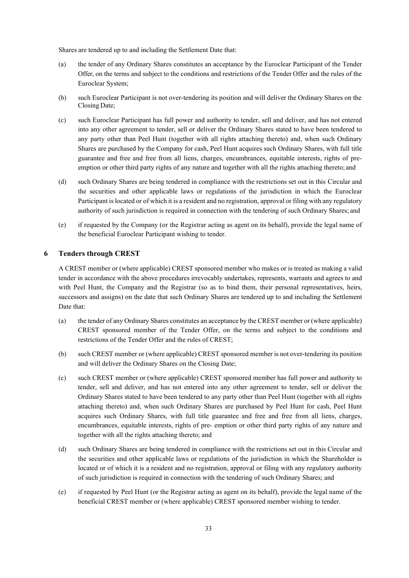Shares are tendered up to and including the Settlement Date that:

- (a) the tender of any Ordinary Shares constitutes an acceptance by the Euroclear Participant of the Tender Offer, on the terms and subject to the conditions and restrictions of the Tender Offer and the rules of the Euroclear System;
- (b) such Euroclear Participant is not over-tendering its position and will deliver the Ordinary Shares on the Closing Date;
- (c) such Euroclear Participant has full power and authority to tender, sell and deliver, and has not entered into any other agreement to tender, sell or deliver the Ordinary Shares stated to have been tendered to any party other than Peel Hunt (together with all rights attaching thereto) and, when such Ordinary Shares are purchased by the Company for cash, Peel Hunt acquires such Ordinary Shares, with full title guarantee and free and free from all liens, charges, encumbrances, equitable interests, rights of preemption or other third party rights of any nature and together with all the rights attaching thereto; and
- (d) such Ordinary Shares are being tendered in compliance with the restrictions set out in this Circular and the securities and other applicable laws or regulations of the jurisdiction in which the Euroclear Participant is located or of which it is a resident and no registration, approval or filing with any regulatory authority of such jurisdiction is required in connection with the tendering of such Ordinary Shares; and
- (e) if requested by the Company (or the Registrar acting as agent on its behalf), provide the legal name of the beneficial Euroclear Participant wishing to tender.

#### **6 Tenders through CREST**

A CREST member or (where applicable) CREST sponsored member who makes or is treated as making a valid tender in accordance with the above procedures irrevocably undertakes, represents, warrants and agrees to and with Peel Hunt, the Company and the Registrar (so as to bind them, their personal representatives, heirs, successors and assigns) on the date that such Ordinary Shares are tendered up to and including the Settlement Date that:

- (a) the tender of any Ordinary Shares constitutes an acceptance by the CREST member or (where applicable) CREST sponsored member of the Tender Offer, on the terms and subject to the conditions and restrictions of the Tender Offer and the rules of CREST;
- (b) such CREST member or (where applicable) CREST sponsored member is not over-tendering its position and will deliver the Ordinary Shares on the Closing Date;
- (c) such CREST member or (where applicable) CREST sponsored member has full power and authority to tender, sell and deliver, and has not entered into any other agreement to tender, sell or deliver the Ordinary Shares stated to have been tendered to any party other than Peel Hunt (together with all rights attaching thereto) and, when such Ordinary Shares are purchased by Peel Hunt for cash, Peel Hunt acquires such Ordinary Shares, with full title guarantee and free and free from all liens, charges, encumbrances, equitable interests, rights of pre- emption or other third party rights of any nature and together with all the rights attaching thereto; and
- (d) such Ordinary Shares are being tendered in compliance with the restrictions set out in this Circular and the securities and other applicable laws or regulations of the jurisdiction in which the Shareholder is located or of which it is a resident and no registration, approval or filing with any regulatory authority of such jurisdiction is required in connection with the tendering of such Ordinary Shares; and
- (e) if requested by Peel Hunt (or the Registrar acting as agent on its behalf), provide the legal name of the beneficial CREST member or (where applicable) CREST sponsored member wishing to tender.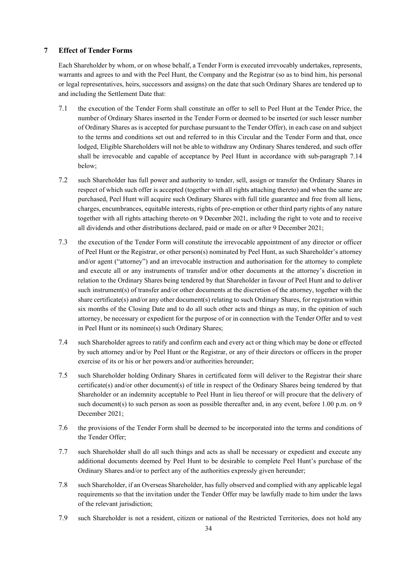## **7 Effect of Tender Forms**

Each Shareholder by whom, or on whose behalf, a Tender Form is executed irrevocably undertakes, represents, warrants and agrees to and with the Peel Hunt, the Company and the Registrar (so as to bind him, his personal or legal representatives, heirs, successors and assigns) on the date that such Ordinary Shares are tendered up to and including the Settlement Date that:

- 7.1 the execution of the Tender Form shall constitute an offer to sell to Peel Hunt at the Tender Price, the number of Ordinary Shares inserted in the Tender Form or deemed to be inserted (or such lesser number of Ordinary Shares as is accepted for purchase pursuant to the Tender Offer), in each case on and subject to the terms and conditions set out and referred to in this Circular and the Tender Form and that, once lodged, Eligible Shareholders will not be able to withdraw any Ordinary Shares tendered, and such offer shall be irrevocable and capable of acceptance by Peel Hunt in accordance with sub-paragraph 7.14 below;
- 7.2 such Shareholder has full power and authority to tender, sell, assign or transfer the Ordinary Shares in respect of which such offer is accepted (together with all rights attaching thereto) and when the same are purchased, Peel Hunt will acquire such Ordinary Shares with full title guarantee and free from all liens, charges, encumbrances, equitable interests, rights of pre-emption or other third party rights of any nature together with all rights attaching thereto on 9 December 2021, including the right to vote and to receive all dividends and other distributions declared, paid or made on or after 9 December 2021;
- 7.3 the execution of the Tender Form will constitute the irrevocable appointment of any director or officer of Peel Hunt or the Registrar, or other person(s) nominated by Peel Hunt, as such Shareholder's attorney and/or agent ("attorney") and an irrevocable instruction and authorisation for the attorney to complete and execute all or any instruments of transfer and/or other documents at the attorney's discretion in relation to the Ordinary Shares being tendered by that Shareholder in favour of Peel Hunt and to deliver such instrument(s) of transfer and/or other documents at the discretion of the attorney, together with the share certificate(s) and/or any other document(s) relating to such Ordinary Shares, for registration within six months of the Closing Date and to do all such other acts and things as may, in the opinion of such attorney, be necessary or expedient for the purpose of or in connection with the Tender Offer and to vest in Peel Hunt or its nominee(s) such Ordinary Shares;
- 7.4 such Shareholder agrees to ratify and confirm each and every act or thing which may be done or effected by such attorney and/or by Peel Hunt or the Registrar, or any of their directors or officers in the proper exercise of its or his or her powers and/or authorities hereunder;
- 7.5 such Shareholder holding Ordinary Shares in certificated form will deliver to the Registrar their share certificate(s) and/or other document(s) of title in respect of the Ordinary Shares being tendered by that Shareholder or an indemnity acceptable to Peel Hunt in lieu thereof or will procure that the delivery of such document(s) to such person as soon as possible thereafter and, in any event, before 1.00 p.m. on 9 December 2021;
- 7.6 the provisions of the Tender Form shall be deemed to be incorporated into the terms and conditions of the Tender Offer;
- 7.7 such Shareholder shall do all such things and acts as shall be necessary or expedient and execute any additional documents deemed by Peel Hunt to be desirable to complete Peel Hunt's purchase of the Ordinary Shares and/or to perfect any of the authorities expressly given hereunder;
- 7.8 such Shareholder, if an Overseas Shareholder, has fully observed and complied with any applicable legal requirements so that the invitation under the Tender Offer may be lawfully made to him under the laws of the relevant jurisdiction;
- 7.9 such Shareholder is not a resident, citizen or national of the Restricted Territories, does not hold any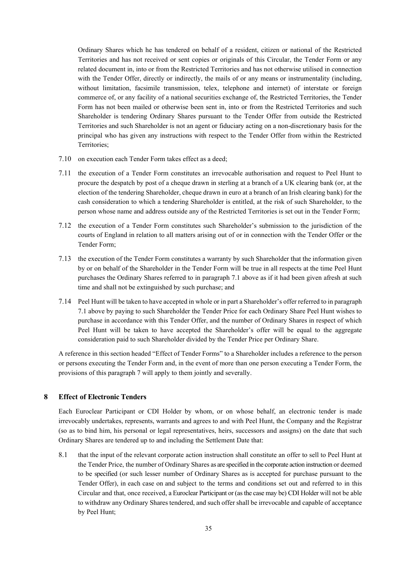Ordinary Shares which he has tendered on behalf of a resident, citizen or national of the Restricted Territories and has not received or sent copies or originals of this Circular, the Tender Form or any related document in, into or from the Restricted Territories and has not otherwise utilised in connection with the Tender Offer, directly or indirectly, the mails of or any means or instrumentality (including, without limitation, facsimile transmission, telex, telephone and internet) of interstate or foreign commerce of, or any facility of a national securities exchange of, the Restricted Territories, the Tender Form has not been mailed or otherwise been sent in, into or from the Restricted Territories and such Shareholder is tendering Ordinary Shares pursuant to the Tender Offer from outside the Restricted Territories and such Shareholder is not an agent or fiduciary acting on a non-discretionary basis for the principal who has given any instructions with respect to the Tender Offer from within the Restricted Territories;

- 7.10 on execution each Tender Form takes effect as a deed;
- 7.11 the execution of a Tender Form constitutes an irrevocable authorisation and request to Peel Hunt to procure the despatch by post of a cheque drawn in sterling at a branch of a UK clearing bank (or, at the election of the tendering Shareholder, cheque drawn in euro at a branch of an Irish clearing bank) for the cash consideration to which a tendering Shareholder is entitled, at the risk of such Shareholder, to the person whose name and address outside any of the Restricted Territories is set out in the Tender Form;
- 7.12 the execution of a Tender Form constitutes such Shareholder's submission to the jurisdiction of the courts of England in relation to all matters arising out of or in connection with the Tender Offer or the Tender Form;
- 7.13 the execution of the Tender Form constitutes a warranty by such Shareholder that the information given by or on behalf of the Shareholder in the Tender Form will be true in all respects at the time Peel Hunt purchases the Ordinary Shares referred to in paragraph 7.1 above as if it had been given afresh at such time and shall not be extinguished by such purchase; and
- 7.14 Peel Hunt will be taken to have accepted in whole or in part a Shareholder's offer referred to in paragraph 7.1 above by paying to such Shareholder the Tender Price for each Ordinary Share Peel Hunt wishes to purchase in accordance with this Tender Offer, and the number of Ordinary Shares in respect of which Peel Hunt will be taken to have accepted the Shareholder's offer will be equal to the aggregate consideration paid to such Shareholder divided by the Tender Price per Ordinary Share.

A reference in this section headed "Effect of Tender Forms" to a Shareholder includes a reference to the person or persons executing the Tender Form and, in the event of more than one person executing a Tender Form, the provisions of this paragraph 7 will apply to them jointly and severally.

## **8 Effect of Electronic Tenders**

Each Euroclear Participant or CDI Holder by whom, or on whose behalf, an electronic tender is made irrevocably undertakes, represents, warrants and agrees to and with Peel Hunt, the Company and the Registrar (so as to bind him, his personal or legal representatives, heirs, successors and assigns) on the date that such Ordinary Shares are tendered up to and including the Settlement Date that:

8.1 that the input of the relevant corporate action instruction shall constitute an offer to sell to Peel Hunt at the Tender Price, the number of Ordinary Shares as are specified in the corporate action instruction or deemed to be specified (or such lesser number of Ordinary Shares as is accepted for purchase pursuant to the Tender Offer), in each case on and subject to the terms and conditions set out and referred to in this Circular and that, once received, a Euroclear Participant or (as the case may be) CDI Holder will not be able to withdraw any Ordinary Shares tendered, and such offer shall be irrevocable and capable of acceptance by Peel Hunt;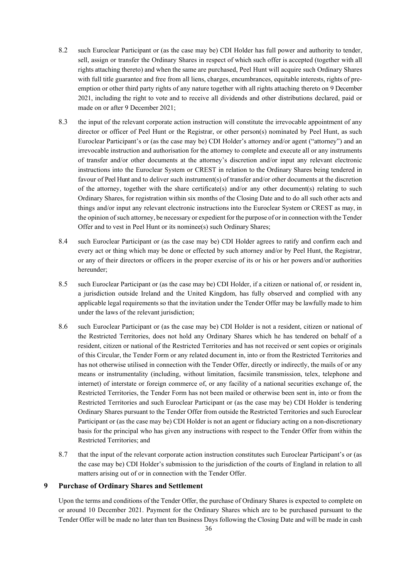- 8.2 such Euroclear Participant or (as the case may be) CDI Holder has full power and authority to tender, sell, assign or transfer the Ordinary Shares in respect of which such offer is accepted (together with all rights attaching thereto) and when the same are purchased, Peel Hunt will acquire such Ordinary Shares with full title guarantee and free from all liens, charges, encumbrances, equitable interests, rights of preemption or other third party rights of any nature together with all rights attaching thereto on 9 December 2021, including the right to vote and to receive all dividends and other distributions declared, paid or made on or after 9 December 2021;
- 8.3 the input of the relevant corporate action instruction will constitute the irrevocable appointment of any director or officer of Peel Hunt or the Registrar, or other person(s) nominated by Peel Hunt, as such Euroclear Participant's or (as the case may be) CDI Holder's attorney and/or agent ("attorney") and an irrevocable instruction and authorisation for the attorney to complete and execute all or any instruments of transfer and/or other documents at the attorney's discretion and/or input any relevant electronic instructions into the Euroclear System or CREST in relation to the Ordinary Shares being tendered in favour of Peel Hunt and to deliver such instrument(s) of transfer and/or other documents at the discretion of the attorney, together with the share certificate(s) and/or any other document(s) relating to such Ordinary Shares, for registration within six months of the Closing Date and to do all such other acts and things and/or input any relevant electronic instructions into the Euroclear System or CREST as may, in the opinion of such attorney, be necessary or expedient for the purpose of or in connection with the Tender Offer and to vest in Peel Hunt or its nominee(s) such Ordinary Shares;
- 8.4 such Euroclear Participant or (as the case may be) CDI Holder agrees to ratify and confirm each and every act or thing which may be done or effected by such attorney and/or by Peel Hunt, the Registrar, or any of their directors or officers in the proper exercise of its or his or her powers and/or authorities hereunder;
- 8.5 such Euroclear Participant or (as the case may be) CDI Holder, if a citizen or national of, or resident in, a jurisdiction outside Ireland and the United Kingdom, has fully observed and complied with any applicable legal requirements so that the invitation under the Tender Offer may be lawfully made to him under the laws of the relevant jurisdiction;
- 8.6 such Euroclear Participant or (as the case may be) CDI Holder is not a resident, citizen or national of the Restricted Territories, does not hold any Ordinary Shares which he has tendered on behalf of a resident, citizen or national of the Restricted Territories and has not received or sent copies or originals of this Circular, the Tender Form or any related document in, into or from the Restricted Territories and has not otherwise utilised in connection with the Tender Offer, directly or indirectly, the mails of or any means or instrumentality (including, without limitation, facsimile transmission, telex, telephone and internet) of interstate or foreign commerce of, or any facility of a national securities exchange of, the Restricted Territories, the Tender Form has not been mailed or otherwise been sent in, into or from the Restricted Territories and such Euroclear Participant or (as the case may be) CDI Holder is tendering Ordinary Shares pursuant to the Tender Offer from outside the Restricted Territories and such Euroclear Participant or (as the case may be) CDI Holder is not an agent or fiduciary acting on a non-discretionary basis for the principal who has given any instructions with respect to the Tender Offer from within the Restricted Territories; and
- 8.7 that the input of the relevant corporate action instruction constitutes such Euroclear Participant's or (as the case may be) CDI Holder's submission to the jurisdiction of the courts of England in relation to all matters arising out of or in connection with the Tender Offer.

#### **9 Purchase of Ordinary Shares and Settlement**

Upon the terms and conditions of the Tender Offer, the purchase of Ordinary Shares is expected to complete on or around 10 December 2021. Payment for the Ordinary Shares which are to be purchased pursuant to the Tender Offer will be made no later than ten Business Days following the Closing Date and will be made in cash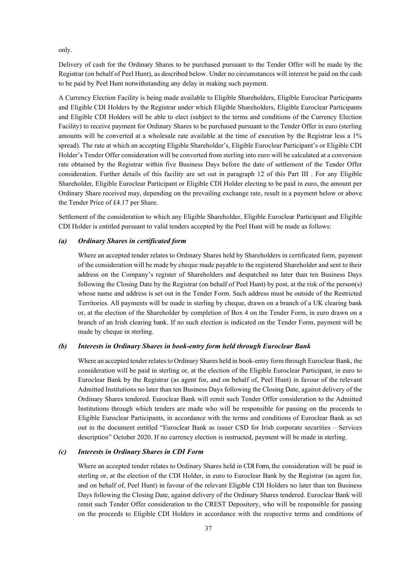only.

Delivery of cash for the Ordinary Shares to be purchased pursuant to the Tender Offer will be made by the Registrar (on behalf of Peel Hunt), as described below. Under no circumstances will interest be paid on the cash to be paid by Peel Hunt notwithstanding any delay in making such payment.

A Currency Election Facility is being made available to Eligible Shareholders, Eligible Euroclear Participants and Eligible CDI Holders by the Registrar under which Eligible Shareholders, Eligible Euroclear Participants and Eligible CDI Holders will be able to elect (subject to the terms and conditions of the Currency Election Facility) to receive payment for Ordinary Shares to be purchased pursuant to the Tender Offer in euro (sterling amounts will be converted at a wholesale rate available at the time of execution by the Registrar less a 1% spread). The rate at which an accepting Eligible Shareholder's, Eligible Euroclear Participant's or Eligible CDI Holder's Tender Offer consideration will be converted from sterling into euro will be calculated at a conversion rate obtained by the Registrar within five Business Days before the date of settlement of the Tender Offer consideration. Further details of this facility are set out in paragraph 12 of this Part III . For any Eligible Shareholder, Eligible Euroclear Participant or Eligible CDI Holder electing to be paid in euro, the amount per Ordinary Share received may, depending on the prevailing exchange rate, result in a payment below or above the Tender Price of £4.17 per Share.

Settlement of the consideration to which any Eligible Shareholder, Eligible Euroclear Participant and Eligible CDI Holder is entitled pursuant to valid tenders accepted by the Peel Hunt will be made as follows:

#### *(a) Ordinary Shares in certificated form*

Where an accepted tender relates to Ordinary Shares held by Shareholders in certificated form, payment of the consideration will be made by cheque made payable to the registered Shareholder and sent to their address on the Company's register of Shareholders and despatched no later than ten Business Days following the Closing Date by the Registrar (on behalf of Peel Hunt) by post, at the risk of the person(s) whose name and address is set out in the Tender Form. Such address must be outside of the Restricted Territories. All payments will be made in sterling by cheque, drawn on a branch of a UK clearing bank or, at the election of the Shareholder by completion of Box 4 on the Tender Form, in euro drawn on a branch of an Irish clearing bank. If no such election is indicated on the Tender Form, payment will be made by cheque in sterling.

#### *(b) Interests in Ordinary Shares in book-entry form held through Euroclear Bank*

Where an accepted tender relatesto Ordinary Shares held in book-entry form through Euroclear Bank, the consideration will be paid in sterling or, at the election of the Eligible Euroclear Participant, in euro to Euroclear Bank by the Registrar (as agent for, and on behalf of, Peel Hunt) in favour of the relevant Admitted Institutions no later than ten Business Days following the Closing Date, against delivery of the Ordinary Shares tendered. Euroclear Bank will remit such Tender Offer consideration to the Admitted Institutions through which tenders are made who will be responsible for passing on the proceeds to Eligible Euroclear Participants, in accordance with the terms and conditions of Euroclear Bank as set out in the document entitled "Euroclear Bank as issuer CSD for Irish corporate securities – Services description" October 2020. If no currency election is instructed, payment will be made in sterling.

#### *(c) Interests in Ordinary Shares in CDI Form*

Where an accepted tender relates to Ordinary Shares held in CDI Form, the consideration will be paid in sterling or, at the election of the CDI Holder, in euro to Euroclear Bank by the Registrar (as agent for, and on behalf of, Peel Hunt) in favour of the relevant Eligible CDI Holders no later than ten Business Days following the Closing Date, against delivery of the Ordinary Shares tendered. Euroclear Bank will remit such Tender Offer consideration to the CREST Depository, who will be responsible for passing on the proceeds to Eligible CDI Holders in accordance with the respective terms and conditions of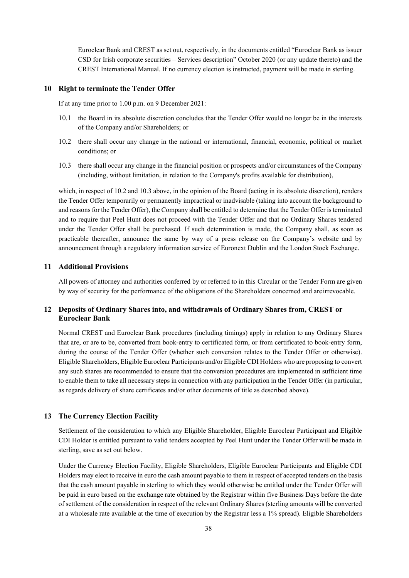Euroclear Bank and CREST as set out, respectively, in the documents entitled "Euroclear Bank as issuer CSD for Irish corporate securities – Services description" October 2020 (or any update thereto) and the CREST International Manual. If no currency election is instructed, payment will be made in sterling.

## **10 Right to terminate the Tender Offer**

If at any time prior to 1.00 p.m. on 9 December 2021:

- 10.1 the Board in its absolute discretion concludes that the Tender Offer would no longer be in the interests of the Company and/or Shareholders; or
- 10.2 there shall occur any change in the national or international, financial, economic, political or market conditions; or
- 10.3 there shall occur any change in the financial position or prospects and/or circumstances of the Company (including, without limitation, in relation to the Company's profits available for distribution),

which, in respect of 10.2 and 10.3 above, in the opinion of the Board (acting in its absolute discretion), renders the Tender Offer temporarily or permanently impractical or inadvisable (taking into account the background to and reasons for the Tender Offer), the Company shall be entitled to determine that the Tender Offer is terminated and to require that Peel Hunt does not proceed with the Tender Offer and that no Ordinary Shares tendered under the Tender Offer shall be purchased. If such determination is made, the Company shall, as soon as practicable thereafter, announce the same by way of a press release on the Company's website and by announcement through a regulatory information service of Euronext Dublin and the London Stock Exchange.

#### **11 Additional Provisions**

All powers of attorney and authorities conferred by or referred to in this Circular or the Tender Form are given by way of security for the performance of the obligations of the Shareholders concerned and areirrevocable.

## **12 Deposits of Ordinary Shares into, and withdrawals of Ordinary Shares from, CREST or Euroclear Bank**

Normal CREST and Euroclear Bank procedures (including timings) apply in relation to any Ordinary Shares that are, or are to be, converted from book-entry to certificated form, or from certificated to book-entry form, during the course of the Tender Offer (whether such conversion relates to the Tender Offer or otherwise). Eligible Shareholders, Eligible Euroclear Participants and/or Eligible CDI Holders who are proposing to convert any such shares are recommended to ensure that the conversion procedures are implemented in sufficient time to enable them to take all necessary steps in connection with any participation in the Tender Offer (in particular, as regards delivery of share certificates and/or other documents of title as described above).

## **13 The Currency Election Facility**

Settlement of the consideration to which any Eligible Shareholder, Eligible Euroclear Participant and Eligible CDI Holder is entitled pursuant to valid tenders accepted by Peel Hunt under the Tender Offer will be made in sterling, save as set out below.

Under the Currency Election Facility, Eligible Shareholders, Eligible Euroclear Participants and Eligible CDI Holders may elect to receive in euro the cash amount payable to them in respect of accepted tenders on the basis that the cash amount payable in sterling to which they would otherwise be entitled under the Tender Offer will be paid in euro based on the exchange rate obtained by the Registrar within five Business Days before the date of settlement of the consideration in respect of the relevant Ordinary Shares (sterling amounts will be converted at a wholesale rate available at the time of execution by the Registrar less a 1% spread). Eligible Shareholders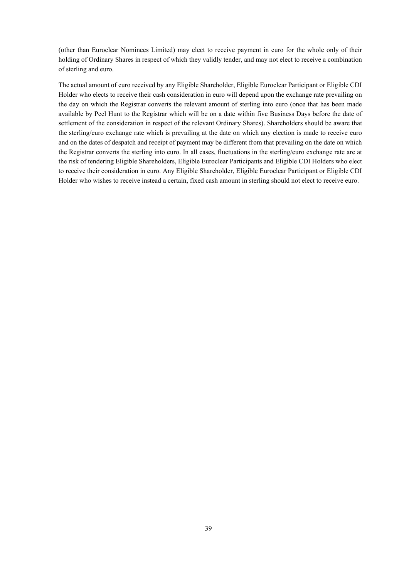(other than Euroclear Nominees Limited) may elect to receive payment in euro for the whole only of their holding of Ordinary Shares in respect of which they validly tender, and may not elect to receive a combination of sterling and euro.

The actual amount of euro received by any Eligible Shareholder, Eligible Euroclear Participant or Eligible CDI Holder who elects to receive their cash consideration in euro will depend upon the exchange rate prevailing on the day on which the Registrar converts the relevant amount of sterling into euro (once that has been made available by Peel Hunt to the Registrar which will be on a date within five Business Days before the date of settlement of the consideration in respect of the relevant Ordinary Shares). Shareholders should be aware that the sterling/euro exchange rate which is prevailing at the date on which any election is made to receive euro and on the dates of despatch and receipt of payment may be different from that prevailing on the date on which the Registrar converts the sterling into euro. In all cases, fluctuations in the sterling/euro exchange rate are at the risk of tendering Eligible Shareholders, Eligible Euroclear Participants and Eligible CDI Holders who elect to receive their consideration in euro. Any Eligible Shareholder, Eligible Euroclear Participant or Eligible CDI Holder who wishes to receive instead a certain, fixed cash amount in sterling should not elect to receive euro.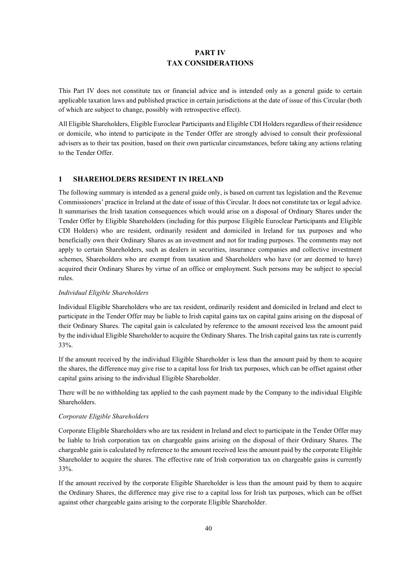# **PART IV TAX CONSIDERATIONS**

This Part IV does not constitute tax or financial advice and is intended only as a general guide to certain applicable taxation laws and published practice in certain jurisdictions at the date of issue of this Circular (both of which are subject to change, possibly with retrospective effect).

All Eligible Shareholders, Eligible Euroclear Participants and Eligible CDI Holdersregardless of their residence or domicile, who intend to participate in the Tender Offer are strongly advised to consult their professional advisers as to their tax position, based on their own particular circumstances, before taking any actions relating to the Tender Offer.

# **1 SHAREHOLDERS RESIDENT IN IRELAND**

The following summary is intended as a general guide only, is based on current tax legislation and the Revenue Commissioners' practice in Ireland at the date of issue of this Circular. It does not constitute tax or legal advice. It summarises the Irish taxation consequences which would arise on a disposal of Ordinary Shares under the Tender Offer by Eligible Shareholders (including for this purpose Eligible Euroclear Participants and Eligible CDI Holders) who are resident, ordinarily resident and domiciled in Ireland for tax purposes and who beneficially own their Ordinary Shares as an investment and not for trading purposes. The comments may not apply to certain Shareholders, such as dealers in securities, insurance companies and collective investment schemes, Shareholders who are exempt from taxation and Shareholders who have (or are deemed to have) acquired their Ordinary Shares by virtue of an office or employment. Such persons may be subject to special rules.

#### *Individual Eligible Shareholders*

Individual Eligible Shareholders who are tax resident, ordinarily resident and domiciled in Ireland and elect to participate in the Tender Offer may be liable to Irish capital gains tax on capital gains arising on the disposal of their Ordinary Shares. The capital gain is calculated by reference to the amount received less the amount paid by the individual Eligible Shareholder to acquire the Ordinary Shares. The Irish capital gains tax rate is currently 33%.

If the amount received by the individual Eligible Shareholder is less than the amount paid by them to acquire the shares, the difference may give rise to a capital loss for Irish tax purposes, which can be offset against other capital gains arising to the individual Eligible Shareholder.

There will be no withholding tax applied to the cash payment made by the Company to the individual Eligible Shareholders.

## *Corporate Eligible Shareholders*

Corporate Eligible Shareholders who are tax resident in Ireland and elect to participate in the Tender Offer may be liable to Irish corporation tax on chargeable gains arising on the disposal of their Ordinary Shares. The chargeable gain is calculated by reference to the amount received less the amount paid by the corporate Eligible Shareholder to acquire the shares. The effective rate of Irish corporation tax on chargeable gains is currently 33%.

If the amount received by the corporate Eligible Shareholder is less than the amount paid by them to acquire the Ordinary Shares, the difference may give rise to a capital loss for Irish tax purposes, which can be offset against other chargeable gains arising to the corporate Eligible Shareholder.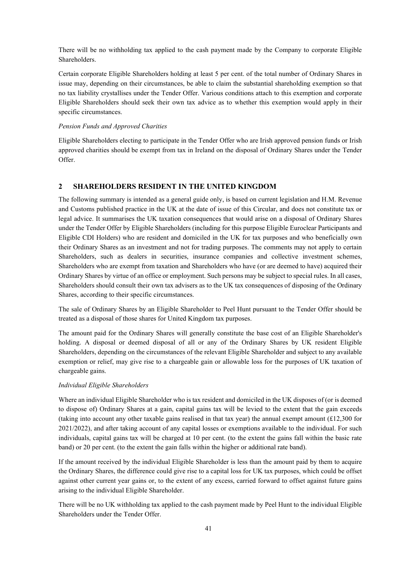There will be no withholding tax applied to the cash payment made by the Company to corporate Eligible Shareholders.

Certain corporate Eligible Shareholders holding at least 5 per cent. of the total number of Ordinary Shares in issue may, depending on their circumstances, be able to claim the substantial shareholding exemption so that no tax liability crystallises under the Tender Offer. Various conditions attach to this exemption and corporate Eligible Shareholders should seek their own tax advice as to whether this exemption would apply in their specific circumstances.

#### *Pension Funds and Approved Charities*

Eligible Shareholders electing to participate in the Tender Offer who are Irish approved pension funds or Irish approved charities should be exempt from tax in Ireland on the disposal of Ordinary Shares under the Tender Offer.

## **2 SHAREHOLDERS RESIDENT IN THE UNITED KINGDOM**

The following summary is intended as a general guide only, is based on current legislation and H.M. Revenue and Customs published practice in the UK at the date of issue of this Circular, and does not constitute tax or legal advice. It summarises the UK taxation consequences that would arise on a disposal of Ordinary Shares under the Tender Offer by Eligible Shareholders (including for this purpose Eligible Euroclear Participants and Eligible CDI Holders) who are resident and domiciled in the UK for tax purposes and who beneficially own their Ordinary Shares as an investment and not for trading purposes. The comments may not apply to certain Shareholders, such as dealers in securities, insurance companies and collective investment schemes, Shareholders who are exempt from taxation and Shareholders who have (or are deemed to have) acquired their Ordinary Shares by virtue of an office or employment. Such persons may be subject to special rules. In all cases, Shareholders should consult their own tax advisers as to the UK tax consequences of disposing of the Ordinary Shares, according to their specific circumstances.

The sale of Ordinary Shares by an Eligible Shareholder to Peel Hunt pursuant to the Tender Offer should be treated as a disposal of those shares for United Kingdom tax purposes.

The amount paid for the Ordinary Shares will generally constitute the base cost of an Eligible Shareholder's holding. A disposal or deemed disposal of all or any of the Ordinary Shares by UK resident Eligible Shareholders, depending on the circumstances of the relevant Eligible Shareholder and subject to any available exemption or relief, may give rise to a chargeable gain or allowable loss for the purposes of UK taxation of chargeable gains.

## *Individual Eligible Shareholders*

Where an individual Eligible Shareholder who is tax resident and domiciled in the UK disposes of (or is deemed to dispose of) Ordinary Shares at a gain, capital gains tax will be levied to the extent that the gain exceeds (taking into account any other taxable gains realised in that tax year) the annual exempt amount  $(£12,300$  for 2021/2022), and after taking account of any capital losses or exemptions available to the individual. For such individuals, capital gains tax will be charged at 10 per cent. (to the extent the gains fall within the basic rate band) or 20 per cent. (to the extent the gain falls within the higher or additional rate band).

If the amount received by the individual Eligible Shareholder is less than the amount paid by them to acquire the Ordinary Shares, the difference could give rise to a capital loss for UK tax purposes, which could be offset against other current year gains or, to the extent of any excess, carried forward to offset against future gains arising to the individual Eligible Shareholder.

There will be no UK withholding tax applied to the cash payment made by Peel Hunt to the individual Eligible Shareholders under the Tender Offer.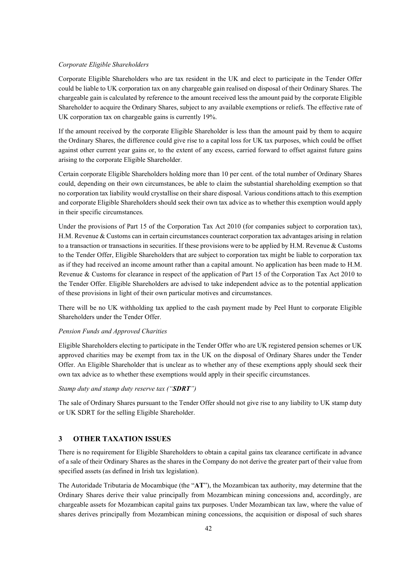#### *Corporate Eligible Shareholders*

Corporate Eligible Shareholders who are tax resident in the UK and elect to participate in the Tender Offer could be liable to UK corporation tax on any chargeable gain realised on disposal of their Ordinary Shares. The chargeable gain is calculated by reference to the amount received less the amount paid by the corporate Eligible Shareholder to acquire the Ordinary Shares, subject to any available exemptions or reliefs. The effective rate of UK corporation tax on chargeable gains is currently 19%.

If the amount received by the corporate Eligible Shareholder is less than the amount paid by them to acquire the Ordinary Shares, the difference could give rise to a capital loss for UK tax purposes, which could be offset against other current year gains or, to the extent of any excess, carried forward to offset against future gains arising to the corporate Eligible Shareholder.

Certain corporate Eligible Shareholders holding more than 10 per cent. of the total number of Ordinary Shares could, depending on their own circumstances, be able to claim the substantial shareholding exemption so that no corporation tax liability would crystallise on their share disposal. Various conditions attach to this exemption and corporate Eligible Shareholders should seek their own tax advice as to whether this exemption would apply in their specific circumstances.

Under the provisions of Part 15 of the Corporation Tax Act 2010 (for companies subject to corporation tax), H.M. Revenue & Customs can in certain circumstances counteract corporation tax advantages arising in relation to a transaction or transactions in securities. If these provisions were to be applied by H.M. Revenue & Customs to the Tender Offer, Eligible Shareholders that are subject to corporation tax might be liable to corporation tax as if they had received an income amount rather than a capital amount. No application has been made to H.M. Revenue & Customs for clearance in respect of the application of Part 15 of the Corporation Tax Act 2010 to the Tender Offer. Eligible Shareholders are advised to take independent advice as to the potential application of these provisions in light of their own particular motives and circumstances.

There will be no UK withholding tax applied to the cash payment made by Peel Hunt to corporate Eligible Shareholders under the Tender Offer.

#### *Pension Funds and Approved Charities*

Eligible Shareholders electing to participate in the Tender Offer who are UK registered pension schemes or UK approved charities may be exempt from tax in the UK on the disposal of Ordinary Shares under the Tender Offer. An Eligible Shareholder that is unclear as to whether any of these exemptions apply should seek their own tax advice as to whether these exemptions would apply in their specific circumstances.

#### *Stamp duty and stamp duty reserve tax ("SDRT")*

The sale of Ordinary Shares pursuant to the Tender Offer should not give rise to any liability to UK stamp duty or UK SDRT for the selling Eligible Shareholder.

## **3 OTHER TAXATION ISSUES**

There is no requirement for Eligible Shareholders to obtain a capital gains tax clearance certificate in advance of a sale of their Ordinary Shares as the shares in the Company do not derive the greater part of their value from specified assets (as defined in Irish tax legislation).

The Autoridade Tributaria de Mocambique (the "**AT**"), the Mozambican tax authority, may determine that the Ordinary Shares derive their value principally from Mozambican mining concessions and, accordingly, are chargeable assets for Mozambican capital gains tax purposes. Under Mozambican tax law, where the value of shares derives principally from Mozambican mining concessions, the acquisition or disposal of such shares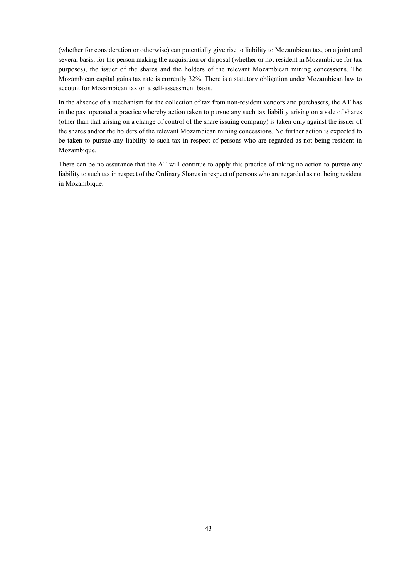(whether for consideration or otherwise) can potentially give rise to liability to Mozambican tax, on a joint and several basis, for the person making the acquisition or disposal (whether or not resident in Mozambique for tax purposes), the issuer of the shares and the holders of the relevant Mozambican mining concessions. The Mozambican capital gains tax rate is currently 32%. There is a statutory obligation under Mozambican law to account for Mozambican tax on a self-assessment basis.

In the absence of a mechanism for the collection of tax from non-resident vendors and purchasers, the AT has in the past operated a practice whereby action taken to pursue any such tax liability arising on a sale of shares (other than that arising on a change of control of the share issuing company) is taken only against the issuer of the shares and/or the holders of the relevant Mozambican mining concessions. No further action is expected to be taken to pursue any liability to such tax in respect of persons who are regarded as not being resident in Mozambique.

There can be no assurance that the AT will continue to apply this practice of taking no action to pursue any liability to such tax in respect of the Ordinary Shares in respect of persons who are regarded as not being resident in Mozambique.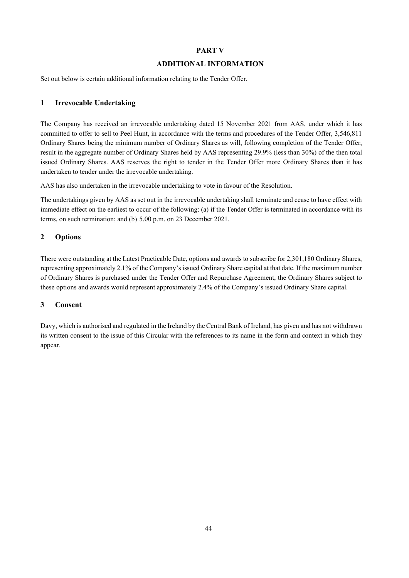## **PART V**

## **ADDITIONAL INFORMATION**

Set out below is certain additional information relating to the Tender Offer.

# **1 Irrevocable Undertaking**

The Company has received an irrevocable undertaking dated 15 November 2021 from AAS, under which it has committed to offer to sell to Peel Hunt, in accordance with the terms and procedures of the Tender Offer, 3,546,811 Ordinary Shares being the minimum number of Ordinary Shares as will, following completion of the Tender Offer, result in the aggregate number of Ordinary Shares held by AAS representing 29.9% (less than 30%) of the then total issued Ordinary Shares. AAS reserves the right to tender in the Tender Offer more Ordinary Shares than it has undertaken to tender under the irrevocable undertaking.

AAS has also undertaken in the irrevocable undertaking to vote in favour of the Resolution.

The undertakings given by AAS as set out in the irrevocable undertaking shall terminate and cease to have effect with immediate effect on the earliest to occur of the following: (a) if the Tender Offer is terminated in accordance with its terms, on such termination; and (b) 5.00 p.m. on 23 December 2021.

## **2 Options**

There were outstanding at the Latest Practicable Date, options and awards to subscribe for 2,301,180 Ordinary Shares, representing approximately 2.1% of the Company's issued Ordinary Share capital at that date. If the maximum number of Ordinary Shares is purchased under the Tender Offer and Repurchase Agreement, the Ordinary Shares subject to these options and awards would represent approximately 2.4% of the Company's issued Ordinary Share capital.

## **3 Consent**

Davy, which is authorised and regulated in the Ireland by the Central Bank of Ireland, has given and has not withdrawn its written consent to the issue of this Circular with the references to its name in the form and context in which they appear.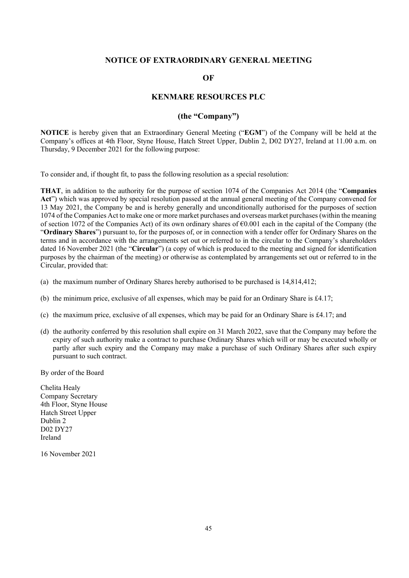## **NOTICE OF EXTRAORDINARY GENERAL MEETING**

**OF**

# **KENMARE RESOURCES PLC**

# **(the "Company")**

**NOTICE** is hereby given that an Extraordinary General Meeting ("**EGM**") of the Company will be held at the Company's offices at 4th Floor, Styne House, Hatch Street Upper, Dublin 2, D02 DY27, Ireland at 11.00 a.m. on Thursday, 9 December 2021 for the following purpose:

To consider and, if thought fit, to pass the following resolution as a special resolution:

**THAT**, in addition to the authority for the purpose of section 1074 of the Companies Act 2014 (the "**Companies Act**") which was approved by special resolution passed at the annual general meeting of the Company convened for 13 May 2021, the Company be and is hereby generally and unconditionally authorised for the purposes of section 1074 of the Companies Act to make one or more market purchases and overseas market purchases (within the meaning of section 1072 of the Companies Act) of its own ordinary shares of €0.001 each in the capital of the Company (the "**Ordinary Shares**") pursuant to, for the purposes of, or in connection with a tender offer for Ordinary Shares on the terms and in accordance with the arrangements set out or referred to in the circular to the Company's shareholders dated 16 November 2021 (the "**Circular**") (a copy of which is produced to the meeting and signed for identification purposes by the chairman of the meeting) or otherwise as contemplated by arrangements set out or referred to in the Circular, provided that:

- (a) the maximum number of Ordinary Shares hereby authorised to be purchased is 14,814,412;
- (b) the minimum price, exclusive of all expenses, which may be paid for an Ordinary Share is  $\text{\pounds}4.17$ ;
- (c) the maximum price, exclusive of all expenses, which may be paid for an Ordinary Share is £4.17; and
- (d) the authority conferred by this resolution shall expire on 31 March 2022, save that the Company may before the expiry of such authority make a contract to purchase Ordinary Shares which will or may be executed wholly or partly after such expiry and the Company may make a purchase of such Ordinary Shares after such expiry pursuant to such contract.

By order of the Board

Chelita Healy Company Secretary 4th Floor, Styne House Hatch Street Upper Dublin 2 D02 DY27 Ireland

16 November 2021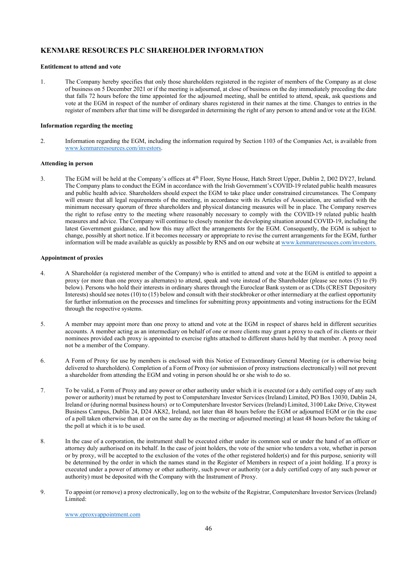## **KENMARE RESOURCES PLC SHAREHOLDER INFORMATION**

#### **Entitlement to attend and vote**

1. The Company hereby specifies that only those shareholders registered in the register of members of the Company as at close of business on 5 December 2021 or if the meeting is adjourned, at close of business on the day immediately preceding the date that falls 72 hours before the time appointed for the adjourned meeting, shall be entitled to attend, speak, ask questions and vote at the EGM in respect of the number of ordinary shares registered in their names at the time. Changes to entries in the register of members after that time will be disregarded in determining the right of any person to attend and/or vote at the EGM.

#### **Information regarding the meeting**

2. Information regarding the EGM, including the information required by Section 1103 of the Companies Act, is available from www.kenmareresources.com/investors.

#### **Attending in person**

3. The EGM will be held at the Company's offices at 4th Floor, Styne House, Hatch Street Upper, Dublin 2, D02 DY27, Ireland. The Company plans to conduct the EGM in accordance with the Irish Government's COVID-19 related public health measures and public health advice. Shareholders should expect the EGM to take place under constrained circumstances. The Company will ensure that all legal requirements of the meeting, in accordance with its Articles of Association, are satisfied with the minimum necessary quorum of three shareholders and physical distancing measures will be in place. The Company reserves the right to refuse entry to the meeting where reasonably necessary to comply with the COVID-19 related public health measures and advice. The Company will continue to closely monitor the developing situation around COVID-19, including the latest Government guidance, and how this may affect the arrangements for the EGM. Consequently, the EGM is subject to change, possibly at short notice. If it becomes necessary or appropriate to revise the current arrangements for the EGM, further information will be made available as quickly as possible by RNS and on our website at www.kenmareresouces.com/investors.

#### **Appointment of proxies**

- 4. A Shareholder (a registered member of the Company) who is entitled to attend and vote at the EGM is entitled to appoint a proxy (or more than one proxy as alternates) to attend, speak and vote instead of the Shareholder (please see notes (5) to (9) below). Persons who hold their interests in ordinary shares through the Euroclear Bank system or as CDIs (CREST Depository Interests) should see notes (10) to (15) below and consult with their stockbroker or other intermediary at the earliest opportunity for further information on the processes and timelines for submitting proxy appointments and voting instructions for the EGM through the respective systems.
- 5. A member may appoint more than one proxy to attend and vote at the EGM in respect of shares held in different securities accounts. A member acting as an intermediary on behalf of one or more clients may grant a proxy to each of its clients or their nominees provided each proxy is appointed to exercise rights attached to different shares held by that member. A proxy need not be a member of the Company.
- 6. A Form of Proxy for use by members is enclosed with this Notice of Extraordinary General Meeting (or is otherwise being delivered to shareholders). Completion of a Form of Proxy (or submission of proxy instructions electronically) will not prevent a shareholder from attending the EGM and voting in person should he or she wish to do so.
- 7. To be valid, a Form of Proxy and any power or other authority under which it is executed (or a duly certified copy of any such power or authority) must be returned by post to Computershare Investor Services (Ireland) Limited, PO Box 13030, Dublin 24, Ireland or (during normal business hours) or to Computershare Investor Services (Ireland) Limited, 3100 Lake Drive, Citywest Business Campus, Dublin 24, D24 AK82, Ireland, not later than 48 hours before the EGM or adjourned EGM or (in the case of a poll taken otherwise than at or on the same day as the meeting or adjourned meeting) at least 48 hours before the taking of the poll at which it is to be used.
- 8. In the case of a corporation, the instrument shall be executed either under its common seal or under the hand of an officer or attorney duly authorised on its behalf. In the case of joint holders, the vote of the senior who tenders a vote, whether in person or by proxy, will be accepted to the exclusion of the votes of the other registered holder(s) and for this purpose, seniority will be determined by the order in which the names stand in the Register of Members in respect of a joint holding. If a proxy is executed under a power of attorney or other authority, such power or authority (or a duly certified copy of any such power or authority) must be deposited with the Company with the Instrument of Proxy.
- 9. To appoint (or remove) a proxy electronically, log on to the website of the Registrar, Computershare Investor Services (Ireland) Limited:

www.eproxyappointment.com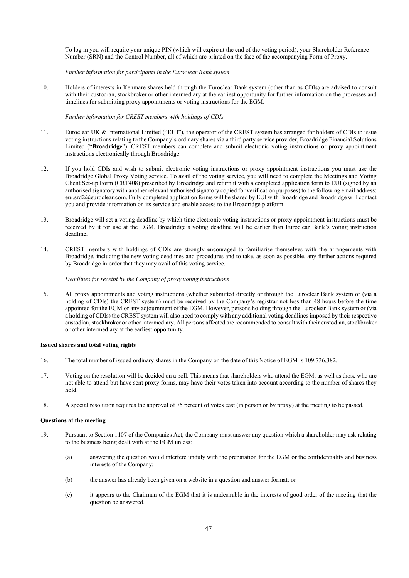To log in you will require your unique PIN (which will expire at the end of the voting period), your Shareholder Reference Number (SRN) and the Control Number, all of which are printed on the face of the accompanying Form of Proxy.

*Further information for participants in the Euroclear Bank system*

10. Holders of interests in Kenmare shares held through the Euroclear Bank system (other than as CDIs) are advised to consult with their custodian, stockbroker or other intermediary at the earliest opportunity for further information on the processes and timelines for submitting proxy appointments or voting instructions for the EGM.

*Further information for CREST members with holdings of CDIs*

- 11. Euroclear UK & International Limited ("**EUI**"), the operator of the CREST system has arranged for holders of CDIs to issue voting instructions relating to the Company's ordinary shares via a third party service provider, Broadridge Financial Solutions Limited ("**Broadridge**"). CREST members can complete and submit electronic voting instructions or proxy appointment instructions electronically through Broadridge.
- 12. If you hold CDIs and wish to submit electronic voting instructions or proxy appointment instructions you must use the Broadridge Global Proxy Voting service. To avail of the voting service, you will need to complete the Meetings and Voting Client Set-up Form (CRT408) prescribed by Broadridge and return it with a completed application form to EUI (signed by an authorised signatory with another relevant authorised signatory copied for verification purposes) to the following email address: eui.srd2@euroclear.com. Fully completed application forms will be shared by EUI with Broadridge and Broadridge will contact you and provide information on its service and enable access to the Broadridge platform.
- 13. Broadridge will set a voting deadline by which time electronic voting instructions or proxy appointment instructions must be received by it for use at the EGM. Broadridge's voting deadline will be earlier than Euroclear Bank's voting instruction deadline.
- 14. CREST members with holdings of CDIs are strongly encouraged to familiarise themselves with the arrangements with Broadridge, including the new voting deadlines and procedures and to take, as soon as possible, any further actions required by Broadridge in order that they may avail of this voting service.

*Deadlines for receipt by the Company of proxy voting instructions*

15. All proxy appointments and voting instructions (whether submitted directly or through the Euroclear Bank system or (via a holding of CDIs) the CREST system) must be received by the Company's registrar not less than 48 hours before the time appointed for the EGM or any adjournment of the EGM. However, persons holding through the Euroclear Bank system or (via a holding of CDIs) the CREST system will also need to comply with any additional voting deadlines imposed by their respective custodian, stockbroker or other intermediary. All persons affected are recommended to consult with their custodian, stockbroker or other intermediary at the earliest opportunity.

#### **Issued shares and total voting rights**

- 16. The total number of issued ordinary shares in the Company on the date of this Notice of EGM is 109,736,382.
- 17. Voting on the resolution will be decided on a poll. This means that shareholders who attend the EGM, as well as those who are not able to attend but have sent proxy forms, may have their votes taken into account according to the number of shares they hold.
- 18. A special resolution requires the approval of 75 percent of votes cast (in person or by proxy) at the meeting to be passed.

#### **Questions at the meeting**

- 19. Pursuant to Section 1107 of the Companies Act, the Company must answer any question which a shareholder may ask relating to the business being dealt with at the EGM unless:
	- (a) answering the question would interfere unduly with the preparation for the EGM or the confidentiality and business interests of the Company;
	- (b) the answer has already been given on a website in a question and answer format; or
	- (c) it appears to the Chairman of the EGM that it is undesirable in the interests of good order of the meeting that the question be answered.